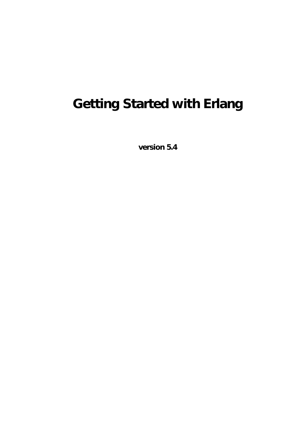# **Getting Started with Erlang**

**version 5.4**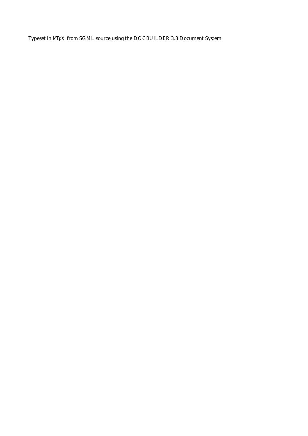Typeset in LH<sub>E</sub>X from SGML source using the DOCBUILDER 3.3 Document System.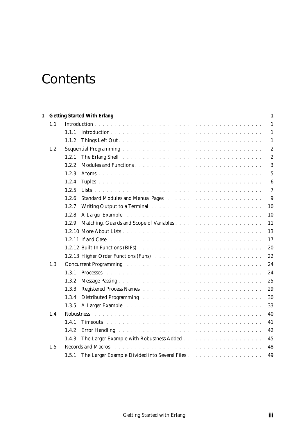## **Contents**

| 1 |     | <b>Getting Started With Erlang</b> | 1                |
|---|-----|------------------------------------|------------------|
|   | 1.1 |                                    | $\mathbf{1}$     |
|   |     | 1.1.1                              | $\mathbf{1}$     |
|   |     | 1.1.2                              | $\mathbf{1}$     |
|   | 1.2 |                                    | $\boldsymbol{2}$ |
|   |     | 1.2.1                              | $\boldsymbol{2}$ |
|   |     | 1.2.2                              | 3                |
|   |     | 1.2.3                              | $\overline{5}$   |
|   |     | 1.2.4                              | $\boldsymbol{6}$ |
|   |     | 1.2.5                              | $\overline{7}$   |
|   |     | 1.2.6                              | 9                |
|   |     | 1.2.7                              | 10               |
|   |     | 1.2.8                              | 10               |
|   |     | 1.2.9                              | 11               |
|   |     |                                    | 13               |
|   |     | 1.2.11 If and Case                 | 17               |
|   |     |                                    | 20               |
|   |     |                                    | 22               |
|   | 1.3 |                                    | 24               |
|   |     | 1.3.1                              | 24               |
|   |     | 1.3.2                              | 25               |
|   |     | 1.3.3                              | 29               |
|   |     | 1.3.4                              | 30               |
|   |     | 1.3.5                              | 33               |
|   | 1.4 |                                    | 40               |
|   |     | 1.4.1                              | 41               |
|   |     | 1.4.2                              | 42               |
|   |     | 1.4.3                              | 45               |
|   | 1.5 | <b>Records and Macros</b>          | 48               |
|   |     | 1.5.1                              | 49               |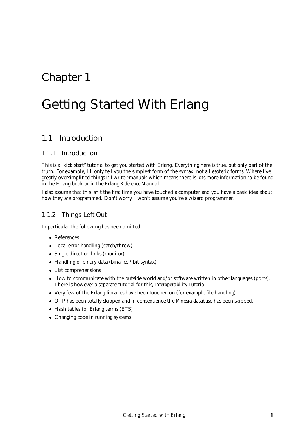## Chapter 1

## Getting Started With Erlang

## 1.1 Introduction

#### 1.1.1 Introduction

This is a "kick start" tutorial to get you started with Erlang. Everything here is true, but only part of the truth. For example, I'll only tell you the simplest form of the syntax, not all esoteric forms. Where I've greatly oversimplified things I'll write \*manual\* which means there is lots more information to be found in the Erlang book or in the *Erlang Reference Manual*.

I also assume that this isn't the first time you have touched a computer and you have a basic idea about how they are programmed. Don't worry, I won't assume you're a wizard programmer.

#### 1.1.2 Things Left Out

In particular the following has been omitted:

- References
- Local error handling (catch/throw)
- Single direction links (monitor)
- Handling of binary data (binaries / bit syntax)
- List comprehensions
- How to communicate with the outside world and/or software written in other languages (ports). There is however a separate tutorial for this, *Interoperability Tutorial*
- Very few of the Erlang libraries have been touched on (for example file handling)
- OTP has been totally skipped and in consequence the Mnesia database has been skipped.
- Hash tables for Erlang terms (ETS)
- Changing code in running systems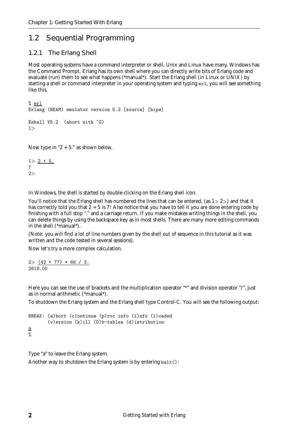## 1.2 Sequential Programming

#### 1.2.1 The Erlang Shell

Most operating systems have a command interpreter or shell, Unix and Linux have many, Windows has the Command Prompt. Erlang has its own shell where you can directly write bits of Erlang code and evaluate (run) them to see what happens (\*manual\*). Start the Erlang shell (in Linux or UNIX) by starting a shell or command interpreter in your operating system and typing erl, you will see something like this.

```
% erl
Erlang (BEAM) emulator version 5.2 [source] [hipe]
Eshell V5.2 (abort with \hat{G})
1>
```
Now type in " $2 + 5$ ." as shown below.

 $1 > 2 + 5$ . 7 2<sup>&</sup>gt;

In Windows, the shell is started by double-clicking on the Erlang shell icon.

You'll notice that the Erlang shell has numbered the lines that can be entered, (as  $1 > 2$ ) and that it has correctly told you that  $2 + 5$  is 7! Also notice that you have to tell it you are done entering code by finishing with a full stop "." and a carriage return. If you make mistakes writing things in the shell, you can delete things by using the backspace key as in most shells. There are many more editing commands in the shell (\*manual\*).

(Note: you will find a lot of line numbers given by the shell out of sequence in this tutorial as it was written and the code tested in several sessions).

Now let's try a more complex calculation.

 $2 > (42 + 77) * 66 / 3$ . 2618.00

Here you can see the use of brackets and the multiplication operator "\*" and division operator "/", just as in normal arithmetic (\*manual\*).

To shutdown the Erlang system and the Erlang shell type Control-C. You will see the following output:

```
BREAK: (a)bort (c)ontinue (p)roc info (i)nfo (l)oaded
       (v)ersion (k)ill (D)b-tables (d)istribution
a
```
Type "a" to leave the Erlang system.

Another way to shutdown the Erlang system is by entering halt():

%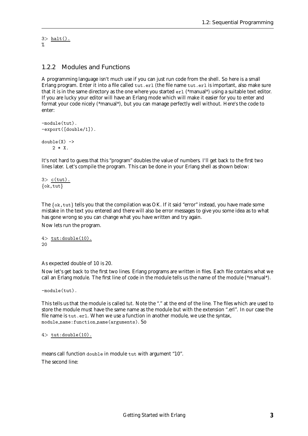$3$ > halt $()$ . %

#### 1.2.2 Modules and Functions

A programming language isn't much use if you can just run code from the shell. So here is a small Erlang program. Enter it into a file called tut.erl (the file name tut.erl is important, also make sure that it is in the same directory as the one where you started erl (\*manual\*) using a suitable text editor. If you are lucky your editor will have an Erlang mode which will make it easier for you to enter and format your code nicely (\*manual\*), but you can manage perfectly well without. Here's the code to enter:

```
-module(tut).
-export([double/1]).
double(X) ->
    2 * X.
```
It's not hard to guess that this "program" doubles the value of numbers. I'll get back to the first two lines later. Let's compile the program. This can be done in your Erlang shell as shown below:

 $3$  c(tut).  $\{ok, tut\}$ 

The  $\{\alpha k, \text{tut}\}\$  tells you that the compilation was OK. If it said "error" instead, you have made some mistake in the text you entered and there will also be error messages to give you some idea as to what has gone wrong so you can change what you have written and try again.

Now lets run the program.

 $4$  tut: double  $(10)$ . 20

As expected double of 10 is 20.

Now let's get back to the first two lines. Erlang programs are written in files. Each file contains what we call an Erlang *module*. The first line of code in the module tells us the name of the module (\*manual\*).

-module(tut).

This tells us that the module is called *tut*. Note the "." at the end of the line. The files which are used to store the module must have the same name as the module but with the extension ".erl". In our case the file name is tut.erl. When we use a function in another module, we use the syntax, module name:function name(arguments). So

 $4$  tut: double  $(10)$ .

means call function double in module tut with argument "10". The second line: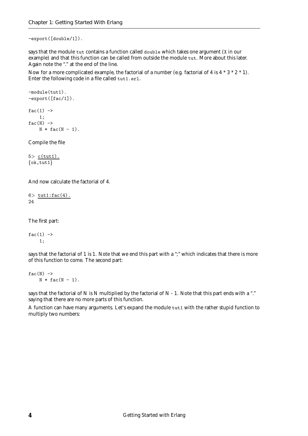-export([double/1]).

says that the module tut contains a function called double which takes one argument (X in our example) and that this function can be called from outside the module tut. More about this later. Again note the "." at the end of the line.

Now for a more complicated example, the factorial of a number (e.g. factorial of 4 is  $4 * 3 * 2 * 1$ ). Enter the following code in a file called tut1.erl.

```
-module(tut1).
-export([fac/1]).
fac(1) ->
   1;
fac(N) ->
   N * fac(N - 1).
```
Compile the file

 $5$  c(tut1).  $\{ok, tut1\}$ 

And now calculate the factorial of 4.

 $6$  tut1:fac $(4)$ . 24

The first part:

 $fac(1)$  -> 1;

says that the factorial of 1 is 1. Note that we end this part with a ";" which indicates that there is more of this function to come. The second part:

 $fac(N)$  ->  $N * fac(N - 1)$ .

says that the factorial of N is N multiplied by the factorial of N - 1. Note that this part ends with a "." saying that there are no more parts of this function.

A function can have many arguments. Let's expand the module tut1 with the rather stupid function to multiply two numbers: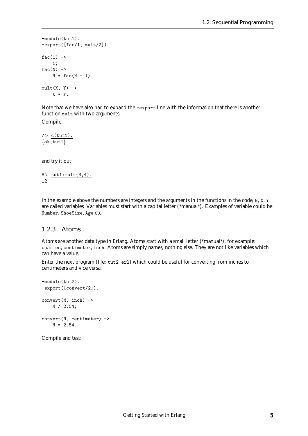```
-module(tut1).
-export([fac/1, mult/2]).
fac(1) ->
   1;
fac(N) ->
    N * fac(N - 1).
mult(X, Y) \rightarrowX * Y.
```
Note that we have also had to expand the -export line with the information that there is another function mult with two arguments.

Compile:

 $7$  c(tut1).  $\{ok, tut1\}$ 

and try it out:

 $8$  tut1: mult $(3, 4)$ . 12

In the example above the numbers are integers and the arguments in the functions in the code, N, X, Y are called variables. Variables must start with a capital letter (\*manual\*). Examples of variable could be Number, ShoeSize, Age etc.

#### 1.2.3 Atoms

Atoms are another data type in Erlang. Atoms start with a small letter (\*manual\*), for example: charles, centimeter, inch. Atoms are simply names, nothing else. They are not like variables which can have a value.

Enter the next program (file: tut2.erl) which could be useful for converting from inches to centimeters and vice versa:

```
-module(tut2).
-export([convert/2]).
convert(M, inch) ->
   M / 2.54;
convert(N, centimeter) ->
   N * 2.54.
```
Compile and test: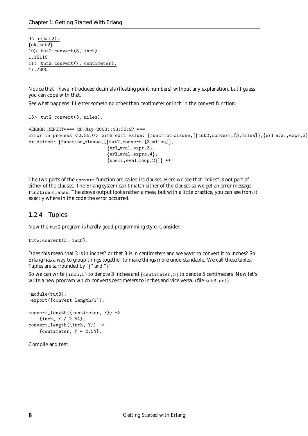$9$  c(tut2).  $\{ok, tut2\}$ 10<sup>&</sup>gt; tut2:convert(3, inch). 1.18110 11<sup>&</sup>gt; tut2:convert(7, centimeter). 17.7800

Notice that I have introduced decimals (floating point numbers) without any explanation, but I guess you can cope with that.

See what happens if I enter something other than centimeter or inch in the convert function:

13<sup>&</sup>gt; tut2:convert(3, miles).

```
=ERROR REPORT==== 28-May-2003::18:36:27 ===
Error in process \langle 0.25.0 \rangle with exit value: {function_clause, [{tut2, convert, [3, miles]}, {erl_eval, expr, 3}
** exited: {function\_clause, [\{tut2, convert, [3, miles]\},\}\{erl-eval, expr, 3,
                                  {er1\_eval, express, 4},
                                  {she11, evalloop, 2}} **
```
The two parts of the convert function are called its clauses. Here we see that "miles" is not part of either of the clauses. The Erlang system can't *match* either of the clauses so we get an error message function clause. The above output looks rather a mess, but with a little practice, you can see from it exactly where in the code the error occurred.

#### 1.2.4 Tuples

Now the tut2 program is hardly good programming style. Consider:

```
tut2:convert(3, inch).
```
Does this mean that 3 is in inches? or that 3 is in centimeters and we want to convert it to inches? So Erlang has a way to group things together to make things more understandable. We call these *tuples*. Tuples are surrounded by " $\{$ " and " $\}$ ".

So we can write  $\{inch,3\}$  to denote 3 inches and  $\{centimeter,5\}$  to denote 5 centimeters. Now let's write a new program which converts centimeters to inches and vice versa. (file tut3.erl).

```
-module(tut3).
-export([convert_length/1]).
convert_length({centimeter, X}) ->
   {inch, X / 2.54};
convert_length({inch, Y}) ->
   {centimeter, Y * 2.54}.
```
Compile and test: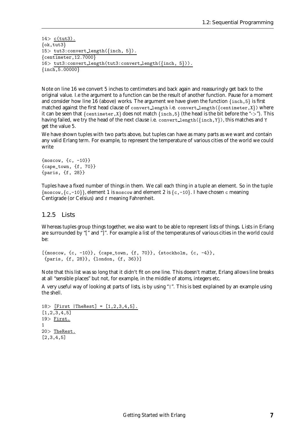$14$  c(tut3).  $\{ok, tut3\}$  $15$  tut3: convert length({inch, 5}).  ${centimeter, 12.7000}$ 16> tut3:convert\_length(tut3:convert\_length({inch, 5})).  $\{inch, 5.00000\}$ 

Note on line 16 we convert 5 inches to centimeters and back again and reassuringly get back to the original value. I.e the argument to a function can be the result of another function. Pause for a moment and consider how line 16 (above) works. The argument we have given the function  $\{$  inch, 5 $\}$  is first matched against the first head clause of convert length i.e. convert length( $\{$ centimeter, $X\}$ ) where it can be seen that  $\{\text{center}, X\}$  does not match  $\{\text{inch}, 5\}$  (the head is the bit before the "->"). This having failed, we try the head of the next clause i.e. convert length( $\{$ inch,Y}), this matches and Y get the value 5.

We have shown tuples with two parts above, but tuples can have as many parts as we want and contain any valid Erlang *term*. For example, to represent the temperature of various cities of the world we could write

```
{moscow, {c, -10}}
{cape_town, {f, 70}}
{paris, {f, 28}}
```
Tuples have a fixed number of things in them. We call each thing in a tuple an element. So in the tuple  $\{$ moscow, $\{c,-10\}\}$ , element 1 is moscow and element 2 is  $\{c,-10\}$ . I have chosen c meaning Centigrade (or Celsius) and f meaning Fahrenheit.

#### 1.2.5 Lists

Whereas tuples group things together, we also want to be able to represent lists of things. Lists in Erlang are surrounded by "[" and "]". For example a list of the temperatures of various cities in the world could be:

```
[{moscow, {c, -10}}, {cape_town, {f, 70}}, {stockholm, {c, -4}},
{paris, {f, 28}}, {london, {f, 36}}]
```
Note that this list was so long that it didn't fit on one line. This doesn't matter, Erlang allows line breaks at all "sensible places" but not, for example, in the middle of atoms, integers etc.

A very useful way of looking at parts of lists, is by using "|". This is best explained by an example using the shell.

```
18 [First |TheRest] = [1, 2, 3, 4, 5].
[1,2,3,4,5]
19> First.
1
20> TheRest.
[2,3,4,5]
```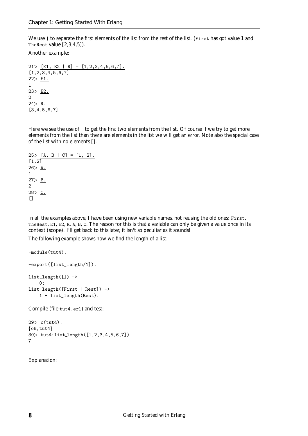We use | to separate the first elements of the list from the rest of the list. (First has got value 1 and TheRest value [2,3,4,5]).

Another example:

21> [E1, E2 | R] =  $[1, 2, 3, 4, 5, 6, 7]$ .  $[1, 2, 3, 4, 5, 6, 7]$ 22<sup>&</sup>gt; E1. 1 23<sup>&</sup>gt; E2. 2  $24 > R$ . [3,4,5,6,7]

Here we see the use of  $\perp$  to get the first two elements from the list. Of course if we try to get more elements from the list than there are elements in the list we will get an error. Note also the special case of the list with no elements [].

```
25 > [A, B | C] = [1, 2].[1,2]26 > A.
1
27 > B.2
28 > C.
\Box
```
In all the examples above, I have been using new variable names, not reusing the old ones: First, TheRest, E1, E2, R, A, B, C. The reason for this is that a variable can only be given a value once in its context (scope). I'll get back to this later, it isn't so peculiar as it sounds!

The following example shows how we find the length of a list:

```
-module(tut4).
-export([list_length/1]).
list_length([]) \rightarrow0;
list_length([First | Rest]) ->
    1 + list_length(Rest).
```
Compile (file tut4.erl) and test:

```
29> c(tut4).
\{ok, tut4\}30> tut4:list length([1,2,3,4,5,6,7]).
7
```
Explanation: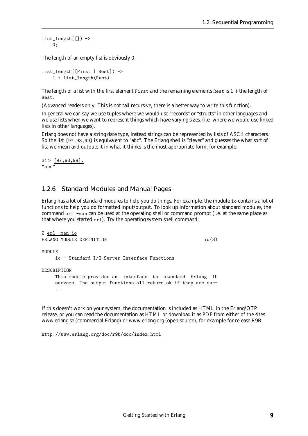```
list_length([]) ->
    0;
```
The length of an empty list is obviously 0.

```
list_length([First | Rest]) ->
    1 + list_length(Rest).
```
The length of a list with the first element First and the remaining elements Rest is  $1 +$  the length of Rest.

(Advanced readers only: This is not tail recursive, there is a better way to write this function).

In general we can say we use tuples where we would use "records" or "structs" in other languages and we use lists when we want to represent things which have varying sizes, (i.e. where we would use linked lists in other languages).

Erlang does not have a string date type, instead strings can be represented by lists of ASCII characters. So the list [97,98,99] is equivalent to "abc". The Erlang shell is "clever" and guesses the what sort of list we mean and outputs it in what it thinks is the most appropriate form, for example:

31<sup>&</sup>gt; [97,98,99]. "abc"

#### 1.2.6 Standard Modules and Manual Pages

Erlang has a lot of standard modules to help you do things. For example, the module io contains a lot of functions to help you do formatted input/output. To look up information about standard modules, the command erl -man can be used at the operating shell or command prompt (i.e. at the same place as that where you started erl). Try the operating system shell command:

```
% erl -man io
ERLANG MODULE DEFINITION i o(3)MODULE
    io - Standard I/O Server Interface Functions
DESCRIPTION
    This module provides an interface to standard Erlang IO
    servers. The output functions all return ok if they are suc-
    ...
```
If this doesn't work on your system, the documentation is included as HTML in the Erlang/OTP release, or you can read the documentation as HTML or download it as PDF from either of the sites www.erlang.se (commercial Erlang) or www.erlang.org (open source), for example for release R9B:

http://www.erlang.org/doc/r9b/doc/index.html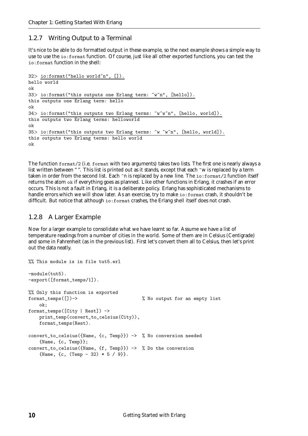### 1.2.7 Writing Output to a Terminal

It's nice to be able to do formatted output in these example, so the next example shows a simple way to use to use the io:format function. Of course, just like all other exported functions, you can test the io:format function in the shell:

```
32 io:format("hello world"n", []).
hello world
ok
33 io:format("this outputs one Erlang term: "w"n", [hello]).
this outputs one Erlang term: hello
ok
34 io:format("this outputs two Erlang terms: "v^w w^m", [hello, world]).
this outputs two Erlang terms: helloworld
ok
35> io:format("this outputs two Erlang terms: "w"w", [hello, world]).
this outputs two Erlang terms: hello world
ok
```
The function format/2 (i.e. format with two arguments) takes two lists. The first one is nearly always a list written between "". This list is printed out as it stands, except that each ~w is replaced by a term taken in order from the second list. Each ~n is replaced by a new line. The io:format/2 function itself returns the atom ok if everything goes as planned. Like other functions in Erlang, it crashes if an error occurs. This is not a fault in Erlang, it is a deliberate policy. Erlang has sophisticated mechanisms to handle errors which we will show later. As an exercise, try to make io:format crash, it shouldn't be difficult. But notice that although io:format crashes, the Erlang shell itself does not crash.

#### 1.2.8 A Larger Example

Now for a larger example to consolidate what we have learnt so far. Assume we have a list of temperature readings from a number of cities in the world. Some of them are in Celsius (Centigrade) and some in Fahrenheit (as in the previous list). First let's convert them all to Celsius, then let's print out the data neatly.

```
%% This module is in file tut5.erl
-module(tut5).
-export([format_temps/1]).
%% Only this function is exported
format_temps([])-> % No output for an empty list
   ok;
format_temps([City | Rest]) ->
   print_temp(convert_to_celsius(City)),
   format_temps(Rest).
convert_to_celsius({Name, {c, Temp}}) -> % No conversion needed
   {Name, {c, Temp}};
convert_to_celsius({Name, {f, Temp}}) -> % Do the conversion
    {\{Name, \{c, (Temp - 32) * 5 / 9\}}.
```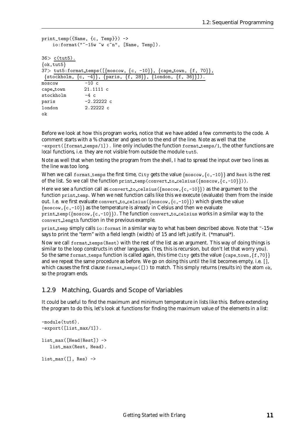```
print_temp({Name, {c, Temp}}) ->
    \text{io:format}("-15w w c^n, [\text{Name}, \text{Temp}]).36 c(tut5).
\{ok, tut5\}37 tut5:format_temps([\{moscow, \{c, -10\}\}, \{capetown, \{f, 70\}\},\{\text{stockholm}, \{c, -4\}\}, \{\text{paris}, \{f, 28\}\}, \{\text{London}, \{f, 36\}\}\}.moseow -10 c
cape town 21.1111 c
stockholm -4 cparis -2.22222 c
london 2.22222 c
ok
```
Before we look at how this program works, notice that we have added a few comments to the code. A comment starts with a % character and goes on to the end of the line. Note as well that the -export([format temps/1]). line only includes the function format temps/1, the other functions are *local* functions, i.e. they are not visible from outside the module tut5.

Note as well that when testing the program from the shell, I had to spread the input over two lines as the line was too long.

When we call format temps the first time, City gets the value  $\{\text{mescov},\{c,-10\}\}\$  and Rest is the rest of the list. So we call the function print temp(convert to celsius( $\{\text{mescov},\{c,-10\}\}\)$ ).

Here we see a function call as convert to celsius ( $\{moscow, \{c, -10\}\}\)$  as the argument to the function print temp. When we *nest* function calls like this we execute (evaluate) them from the inside out. I.e. we first evaluate convert to celsius ( $\{\text{moscow}, \{c, -10\}\}\$ ) which gives the value  $\{\text{moscow}, \{c, -10\}\}\$  as the temperature is already in Celsius and then we evaluate print temp( $\{mosecow,\{c,-10\}\}\)$ . The function convert to celsius works in a similar way to the convert length function in the previous example.

print temp simply calls io: format in a similar way to what has been described above. Note that ~-15w says to print the "term" with a field length (width) of 15 and left justify it. (\*manual\*).

Now we call format temps(Rest) with the rest of the list as an argument. This way of doing things is similar to the loop constructs in other languages. (Yes, this is recursion, but don't let that worry you). So the same format temps function is called again, this time City gets the value  $\{cap, \{f,70\}\}\$ and we repeat the same procedure as before. We go on doing this until the list becomes empty, i.e. [], which causes the first clause format\_temps([]) to match. This simply returns (results in) the atom ok, so the program ends.

#### 1.2.9 Matching, Guards and Scope of Variables

It could be useful to find the maximum and minimum temperature in lists like this. Before extending the program to do this, let's look at functions for finding the maximum value of the elements in a list:

```
-module(tut6).
-export([list_max/1]).
list_max([Head|Rest]) ->
   list_max(Rest, Head).
list_max([], Res) ->
```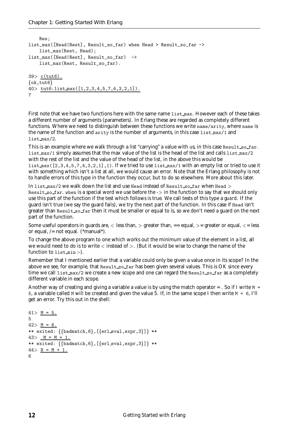```
Res;
list_max([Head|Rest], Result_so_far) when Head > Result_so_far ->
    list_max(Rest, Head);
list_max([Head|Rest], Result_so_far) ->
    list_max(Rest, Result_so_far).
39> c(tut6).
\{ok, tut6\}40 tut6:list max([1, 2, 3, 4, 5, 7, 4, 3, 2, 1]).
7
```
First note that we have two functions here with the same name list max. However each of these takes a different number of arguments (parameters). In Erlang these are regarded as completely different functions. Where we need to distinguish between these functions we write name/arity, where name is the name of the function and arity is the number of arguments, in this case list max/1 and list max/2.

This is an example where we walk through a list "carrying" a value with us, in this case Result so far. list max/1 simply assumes that the max value of the list is the head of the list and calls list max/2 with the rest of the list and the value of the head of the list, in the above this would be list max  $(2,3,4,5,7,4,3,2,1],1$ . If we tried to use list max /1 with an empty list or tried to use it with something which isn't a list at all, we would cause an error. Note that the Erlang philosophy is not to handle errors of this type in the function they occur, but to do so elsewhere. More about this later.

In list max/2 we walk down the list and use Head instead of Result so far when Head  $>$ Result so far. when is a special word we use before the  $\ge$  in the function to say that we should only use this part of the function if the test which follows is true. We call tests of this type a *guard*. If the guard isn't true (we say the guard fails), we try the next part of the function. In this case if Head isn't greater than Result so far then it must be smaller or equal to is, so we don't need a guard on the next part of the function.

Some useful operators in guards are,  $\langle$  less than,  $\rangle$  greater than,  $=$  equal,  $\rangle$  = greater or equal,  $\langle$  = less or equal,  $/=$  not equal. (\*manual\*).

To change the above program to one which works out the minimum value of the element in a list, all we would need to do is to write  $\lt$  instead of  $\gt$ . (But it would be wise to change the name of the function to list min :-).

Remember that I mentioned earlier that a variable could only be given a value once in its scope? In the above we see, for example, that Result\_so\_far has been given several values. This is OK since every time we call list max/2 we create a new scope and one can regard the Result so far as a completely different variable in each scope.

Another way of creating and giving a variable a value is by using the match operator  $=$  . So if I write  $M =$ 5, a variable called M will be created and given the value 5. If, in the same scope I then write M = 6, I'll get an error. Try this out in the shell:

```
41 > M = 5.5
42 > M = 6.
** exited: \{\{\text{badmatch}, 6\}, [\{\text{erl-eval}, \text{expr}, 3\}]\} **
43 > M = M + 1.
** exited: \{\{\text{badmatch}, 6\}, [\{\text{erl-eval}, \text{expr}, 3\}]\} **
44 > N = M + 1.
6
```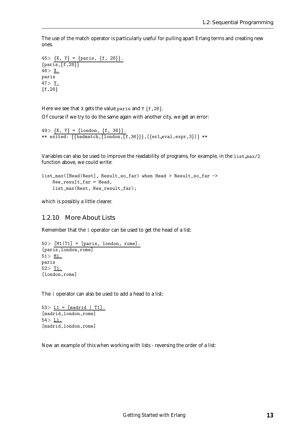The use of the match operator is particularly useful for pulling apart Erlang terms and creating new ones.

45> {X, Y} = {paris, {f, 28}}.  ${paris, {f, 28}}$  $46 > X.$ paris 47>  $Y.$  ${f, 28}$ 

Here we see that X gets the value paris and  $Y \{f, 28\}$ .

Of course if we try to do the same again with another city, we get an error:

```
49 > \{X, Y\} = \{\text{London}, \{f, 36\}\}.\ast\ast exited: \{\{\texttt{badmatch},\{\texttt{London},\{\texttt{f},36\}\}\},[\{\texttt{erl\_eval},\texttt{expr},3\}\} \ast\ast
```
Variables can also be used to improve the readability of programs, for example, in the list max/2 function above, we could write:

```
list_max([Head|Rest], Result_so_far) when Head > Result_so_far ->
    New_result_far = Head,
   list_max(Rest, New_result_far);
```
which is possibly a little clearer.

#### 1.2.10 More About Lists

Remember that the | operator can be used to get the head of a list:

```
50 [M1|T1] = [paris, london, rome].
[paris,london,rome]
51 > M1.
paris
52 > T1.
[london,rome]
```
The  $\vert$  operator can also be used to add a head to a list:

53> L1 =  $[\text{madrid} | T1].$ [madrid,london,rome]  $54 > L1$ . [madrid,london,rome]

Now an example of this when working with lists - reversing the order of a list: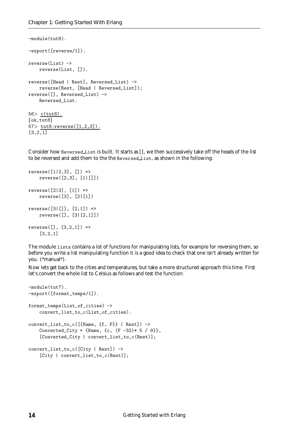```
-module(tut8).
-export([reverse/1]).
reverse(List) ->
    reverse(List, []).
reverse([Head | Rest], Reversed_List) ->
    reverse(Rest, [Head | Reversed_List]);
reverse([], Reversed_List) ->
   Reversed_List.
56 c(tut8).
\{ok, tut8\}57> tut8:reverse([1,2,3]).
[3,2,1]
```
Consider how Reversed List is built. It starts as [], we then successively take off the heads of the list to be reversed and add them to the the Reversed List, as shown in the following:

```
reverse([1|2,3], [] =>
    reverse([2,3], [1|[]])
reverse([2|3], [1]) \Rightarrowreverse([3], [2|[1])
reverse([3|[]], [2,1]) =>
    reverse([], [3|[2,1]])
reverse([], [3, 2, 1]) \Rightarrow[3,2,1]
```
The module lists contains a lot of functions for manipulating lists, for example for reversing them, so before you write a list manipulating function it is a good idea to check that one isn't already written for you. (\*manual\*).

Now lets get back to the cities and temperatures, but take a more structured approach this time. First let's convert the whole list to Celsius as follows and test the function:

```
-module(tut7).
-export([format_temps/1]).
format_temps(List_of_cities) ->
   convert_list_to_c(List_of_cities).
convert_list_to_c([{Name, {f, F}} | Rest]) ->
   Converted_City = {Name, {c, (F -32)* 5 / 9},
    [Converted_City | convert_list_to_c(Rest)];
convert_list_to_c([City | Rest]) ->
    [City | convert_list_to_c(Rest)];
```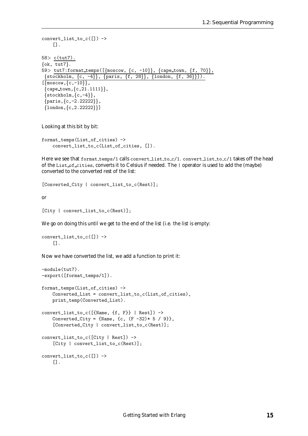```
convert_list_to_c([]) ->
     [].
58> c(tut7).
\{ok, tut7\}.59> tut7:format_temps([\{moscow, \{c, -10\}\}, \{capetown, \{f, 70\}\},\{stockholm, \{c, -4\}\}, \{paris, \{f, 28\}\}, \{london, \{f, 36\}\}\.
\lceil \{\text{moscow}, \{\text{c},\text{-10}\}\},\}{cape_{t}own, {c, 21.1111}},
 \{stockholm, \{c, -4\}\},\{paris, \{c, -2.22222\}\}\,\{london, \{c, 2.22222\}\}\
```
Looking at this bit by bit:

```
format_temps(List_of_cities) ->
    convert_list_to_c(List_of_cities, []).
```
Here we see that format temps/1 calls convert list to c/1. convert list to c/1 takes off the head of the List of cities, converts it to Celsius if needed. The | operator is used to add the (maybe) converted to the converted rest of the list:

[Converted\_City | convert\_list\_to\_c(Rest)];

or

```
[City | convert_list_to_c(Rest)];
```
We go on doing this until we get to the end of the list (i.e. the list is empty:

```
convert_list_to_c([]) ->
    \Box.
```
Now we have converted the list, we add a function to print it:

```
-module(tut7).
-export([format_temps/1]).
format_temps(List_of_cities) ->
    Converted_List = convert_list_to_c(List_of_cities),
    print_temp(Converted_List).
convert_list_to_c([{Name, {f, F}} | Rest]) ->
    Converted_City = \{Name, \{c, (F - 32) * 5 / 9\} \},
    [Converted_City | convert_list_to_c(Rest)];
convert_list_to_c([City | Rest]) ->
    [City | convert_list_to_c(Rest)];
convert_list_to_c([]) ->
    \Box.
```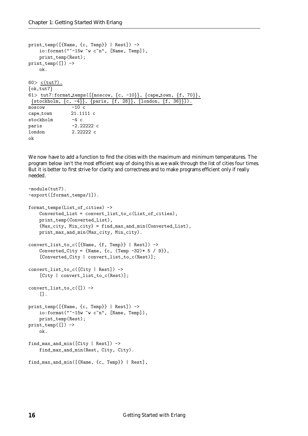```
print_temp([{Name, {c, Temp}} | Rest]) ->
    io:format("~-15w ~w c~n", [Name, Temp]),
    print_temp(Rest);
print_temp([]) \rightarrowok.
60 > c(tut7).
\{ok, tut7\}61> tut7:format_temps([\{\text{moscow}, \{c, -10\}\}, \{\text{cape town}, \{f, 70\}\},\{\text{stockholm}, \{c, -4\}\}, \{\text{paris}, \{f, 28\}\}, \{\text{London}, \{f, 36\}\}\}\.
moseow -10 c
cape town 21.1111 c
stockholm -4 cparis -2.22222 c
london 2.22222 c
ok
```
We now have to add a function to find the cities with the maximum and minimum temperatures. The program below isn't the most efficient way of doing this as we walk through the list of cities four times. But it is better to first strive for clarity and correctness and to make programs efficient only if really needed.

```
-module(tut7).
-export([format_temps/1]).
format_temps(List_of_cities) ->
    Converted_List = convert_list_to_c(List_of_cities),
    print_temp(Converted_List),
    {Max_city, Min_city} = find_max_and_min(Converted_List),
    print_max_and_min(Max_city, Min_city).
convert_list_to_c([{Name, {f, Temp}} | Rest]) ->
    Converted_City = \{Name, \{c, (Temp -32)* 5 / 9\}\},[Converted_City | convert_list_to_c(Rest)];
convert_list_to_c([City | Rest]) ->
    [City | convert_list_to_c(Rest)];
convert_list_to_c([]) ->
    [].
print_temp([{Name, {c, Temp}} | Rest]) ->
    io:format("~-15w ~w c~n", [Name, Temp]),
    print_temp(Rest);
print_temp([]) ->
    ok.
find_max_and_min([City | Rest]) ->
    find_max_and_min(Rest, City, City).
find_max_and_min([{Name, {c, Temp}} | Rest],
```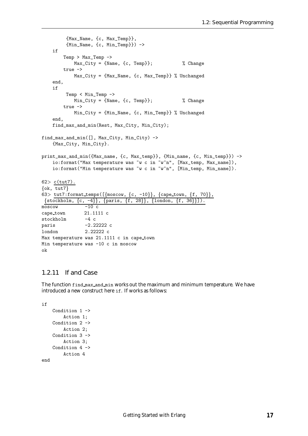```
{Max_Name, {c, Max_Temp}},
        {Min_Name, {c, Min_Temp}}) ->
   if
       Temp > Max_Temp ->
           Max_City = {Name, {c, Temp}}; % Change
       true ->
           Max_City = {Max_Name, {c, Max_Temp}} % Unchanged
   end,
   if
        Temp < Min_Temp ->
           Min_City = {Name, {c, Temp}}; % Change
        true ->
           Min_City = {Min_Name, {c, Min_Temp}} % Unchanged
    end,
   find_max_and_min(Rest, Max_City, Min_City);
find_max_and_min([], Max_City, Min_City) ->
   {Max_City, Min_City}.
print_max_and_min({Max_name, {c, Max_temp}}, {Min_name, {c, Min_temp}}) ->
   io:format("Max temperature was "w c in "w"n", [Max_temp, Max_name]),
    io:format("Min temperature was "w c in "w"n", [Min_temp, Min_name]).
62> c(tut7).
\{ok, tut7\}63> tut7:format_temps([\{\text{moscow}, \{c, -10\}\}, \{\text{capetown}, \{f, 70\}\},\{stockholm, \{c, -4\}\}, \{paris, \{f, 28\}\}, \{London, \{f, 36\}\}\.
moseow -10 c
cape town 21.1111 c
stockholm -4 c
paris -2.22222 c
london 2.22222 c
Max temperature was 21.1111 c in cape_town
Min temperature was -10 c in moscow
ok
```
#### 1.2.11 If and Case

The function find max and min works out the maximum and minimum temperature. We have introduced a new construct here if. If works as follows:

```
if
```

```
Condition 1 ->
        Action 1;
    Condition 2 ->
        Action 2;
    Condition 3 ->
        Action 3;
    Condition 4 ->
        Action 4
end
```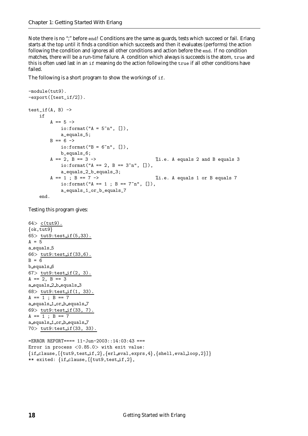Note there is no ";" before end! Conditions are the same as guards, tests which succeed or fail. Erlang starts at the top until it finds a condition which succeeds and then it evaluates (performs) the action following the condition and ignores all other conditions and action before the end. If no condition matches, there will be a run-time failure. A condition which always is succeeds is the atom, true and this is often used last in an if meaning do the action following the true if all other conditions have failed.

The following is a short program to show the workings of if.

```
-module(tut9).
-export([test_if/2]).
test_if(A, B) \rightarrowif
       A = 5 ->
           io:format("A = 5\text{m}", []),
           a_equals_5;
       B == 6 ->io:format("B = 6"n", []),
           b_equals_6;
       A = 2, B = 3 -> \% i.e. A equals 2 and B equals 3
           io:format("A == 2, B == 3<sup>2</sup>n", []),
           a_equals_2_b_equals_3;
       A = 1; B = 7 -> %i.e. A equals 1 or B equals 7
           io:format("A == 1 ; B == 7<sup>th</sup>n", []),
           a_equals_1_or_b_equals_7
   end.
```
Testing this program gives:

```
64> c(tut9).
\{ok, tut9\}65 tut9:test_if(5,33).
A = 5a equals 5
66 tut9:test if (33,6).
B = 6b_equals_6
67 tut9:test_if(2, 3).
A == 2, B == 3a equals 2 b equals 3
68 tut9:test_if(1, 33).
A == 1; B == 7a equals 1 or b equals 7
69> tut9:test if(33, 7).
A = 1; B = 7a_equals_1_or_b_equals_7
70> tut9:test if(33, 33).
```

```
=ERROR REPORT==== 11-Jun-2003::14:03:43 ===
Error in process <0.85.0> with exit value:
\{if\_clause, [\{tut9,test\_if, 2\}, \{erl\_eval, express, 4\}, \{shell, eval\_loop, 2\}]\}** exited: \{if\_clause, [\{tut9, test_if, 2\},\
```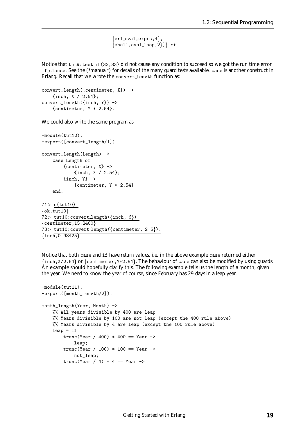$\{er1$  eval, exprs, 4,  ${shell,eval\_loop,2}}$  \*\*

Notice that tut9: test\_if(33,33) did not cause any condition to succeed so we got the run time error if clause. See the (\*manual\*) for details of the many guard tests available. case is another construct in Erlang. Recall that we wrote the convert\_length function as:

```
convert length({centimeter, X}) ->
    {inch, X / 2.54};
convert_length({inch, Y}) ->
    {centimeter, Y * 2.54}.
```
We could also write the same program as:

```
-module(tut10).
-export([convert_length/1]).
convert_length(Length) ->
    case Length of
        {centimeter, X} ->
            {inch, X / 2.54};
        \{inch, Y\} ->
            {centimeter, Y * 2.54}
    end.
```

```
71> c(tut10).
\{ok, tut10\}72> tut10:convertlength(\text{inch}, 6)).
{centimeter, 15.2400}73> tut10: convert_length({centimeter, 2.5}).
\{inch, 0.98425\}
```
Notice that both case and if have *return values*, i.e. in the above example case returned either  $\{in, X/2.54\}$  or  $\{centimeter, Y*2.54\}$ . The behaviour of case can also be modified by using guards. An example should hopefully clarify this. The following example tells us the length of a month, given the year. We need to know the year of course, since February has 29 days in a leap year.

```
-module(tut11).
-export([month_length/2]).
month_length(Year, Month) ->
    %% All years divisible by 400 are leap
    %% Years divisible by 100 are not leap (except the 400 rule above)
    %% Years divisible by 4 are leap (except the 100 rule above)
    Leap = if
        trunc(Year / 400) * 400 == Year \rightarrowleap;
        trunc(Year / 100) * 100 == Year \rightarrownot_leap;
        trunc(Year / 4) * 4 == Year ->
```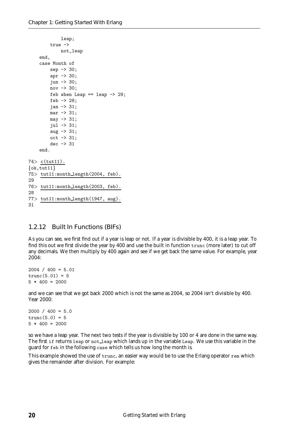```
leap;
        true ->
            not_leap
    end,
    case Month of
        sep -> 30;
        apr -> 30;
        jun -> 30;
        nov -> 30;
        feb when Leap == leap - 29;
        feb \rightarrow 28:
        jan -> 31;
        mar -> 31;
        may -> 31;
        jul -> 31;
        aug -> 31;
        oct -> 31;
        dec -> 31
    end.
74> c(tut11).
\{ok, tut11\}75> tut11:month length(2004, feb).
2976> tut11:month length(2003, feb).
28
77> tut11:month length(1947, aug).
31
```
#### 1.2.12 Built In Functions (BIFs)

As you can see, we first find out if a year is leap or not. If a year is divisible by 400, it is a leap year. To find this out we first divide the year by 400 and use the built in function trunc (more later) to cut off any decimals. We then multiply by 400 again and see if we get back the same value. For example, year 2004:

 $2004 / 400 = 5.01$  $trunc(5.01) = 5$  $5 * 400 = 2000$ 

and we can see that we got back 2000 which is not the same as 2004, so 2004 isn't divisible by 400. Year 2000:

```
2000 / 400 = 5.0trunc(5.0) = 55 * 400 = 2000
```
so we have a leap year. The next two tests if the year is divisible by 100 or 4 are done in the same way. The first if returns leap or not leap which lands up in the variable Leap. We use this variable in the guard for feb in the following case which tells us how long the month is.

This example showed the use of trunc, an easier way would be to use the Erlang operator rem which gives the remainder after division. For example: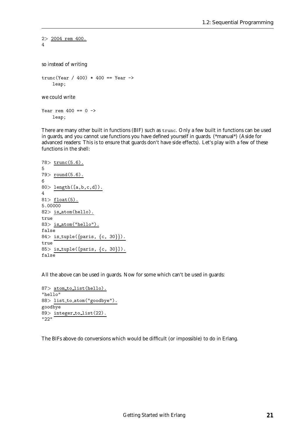```
2> 2004 rem 400.
4
so instead of writing
trunc(Year / 400) * 400 == Year \rightarrowleap;
we could write
Year rem 400 == 0 ->
```
leap;

There are many other built in functions (BIF) such as trunc. Only a few built in functions can be used in guards, and you cannot use functions you have defined yourself in guards. (\*manual\*) (Aside for advanced readers: This is to ensure that guards don't have side effects). Let's play with a few of these functions in the shell:

```
78> trunc(5.6).
5
79> round(5.6).
680 length([a,b,c,d]).
4
81> float(5).
5.00000
82> is_atom(hello).
true
83> is atom("hello").
false
84> is_tuple({paris, {c, 30}}).
true
85> is_tuple([paris, \{c, 30\}]).
false
```
All the above can be used in guards. Now for some which can't be used in guards:

```
87> atom_to_list(hello).
"hello"
88> list to atom("goodbye").
goodbye
89> integer_to_list(22).
"22"
```
The BIFs above do conversions which would be difficult (or impossible) to do in Erlang.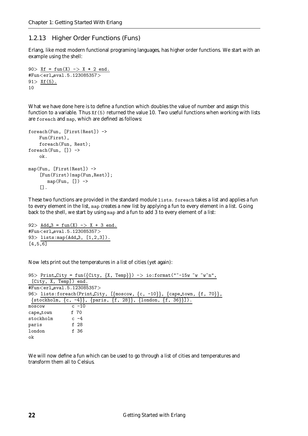#### 1.2.13 Higher Order Functions (Funs)

Erlang, like most modern functional programing languages, has higher order functions. We start with an example using the shell:

```
90 > X f = fun(X) \rightarrow X * 2 end.
#Fun<erl eval.5.123085357>
91 > Xf(5).
10
```
What we have done here is to define a function which doubles the value of number and assign this function to a variable. Thus Xf(5) returned the value 10. Two useful functions when working with lists are foreach and map, which are defined as follows:

```
foreach(Fun, [First|Rest]) ->
    Fun(First),
    foreach(Fun, Rest);
foreach(Fun, []) ->
    ok.
map(Fun, [First|Rest]) ->
    [Fun(First)|map(Fun,Rest)];
       map(Fun, []) ->
    [].
```
These two functions are provided in the standard module lists. foreach takes a list and applies a fun to every element in the list, map creates a new list by applying a fun to every element in a list. Going back to the shell, we start by using map and a fun to add 3 to every element of a list:

92> Add  $3 = \text{fun}(X)$  -> X + 3 end. #Fun<erl eval.5.123085357<sup>&</sup>gt; 93> lists: map(Add\_3, [1,2,3]).  $[4,5,\overline{6}]$ 

Now lets print out the temperatures in a list of cities (yet again):

|                                                    |          |  | 95> Print City = fun({City, {X, Temp}}) -> io:format("~-15w ~w ~w"n",    |  |
|----------------------------------------------------|----------|--|--------------------------------------------------------------------------|--|
| [City, X, Temp]) end.                              |          |  |                                                                          |  |
| #Fun <erl_eval.5.123085357></erl_eval.5.123085357> |          |  |                                                                          |  |
|                                                    |          |  | 96> lists:foreach(Print City, [{moscow, {c, -10}}, {cape_town, {f, 70}}, |  |
|                                                    |          |  | {stockholm, {c, -4}}, {paris, {f, 28}}, {london, {f, 36}}]).             |  |
| moscow                                             | $c - 10$ |  |                                                                          |  |
| cape_town f 70                                     |          |  |                                                                          |  |
| stockholm                                          | $c - 4$  |  |                                                                          |  |
| paris                                              | f 28     |  |                                                                          |  |
| london                                             | f 36     |  |                                                                          |  |
| ok                                                 |          |  |                                                                          |  |

We will now define a fun which can be used to go through a list of cities and temperatures and transform them all to Celsius.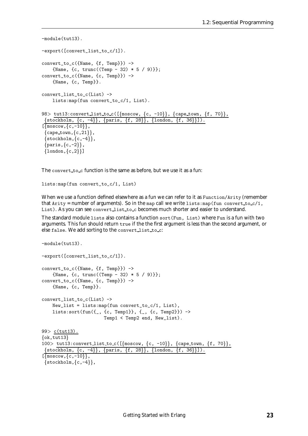```
-module(tut13).
-export([convert_list_to_c/1]).
convert_to_c({Name, {f, Temp}}) ->
    {Name, {c, trunc((Temp - 32) * 5 / 9}};
convert_to_c({Name, {c, Temp}}) ->
    {Name, {c, Temp}}.
convert_list_to_c(List) ->
    lists:map(fun convert_to_c/1, List).
98> tut13:convertlist_to_c([{moscow, {c, -10}}, {cape_town, {f, 70}},
\{stockholm, \{c, -4\}\}, \{paris, \{f, 28\}\}, \{london, \{f, 36\}\}\.
\lceil \{\text{moscow}, \{\text{c},\text{-}10\}\},\}\{cap, \{c, 21\}\},\\{stockholm, \{c, -4\}\},\{paris, \{c, -2\}\},\{london, \{c,2\}\}\}\
```
The convert to c function is the same as before, but we use it as a fun:

lists:map(fun convert\_to\_c/1, List)

When we use a function defined elsewhere as a fun we can refer to it as Function/Arity (remember that  $A$ rity = number of arguments). So in the map call we write lists: map(fun convert to  $\frac{c}{1}$ , List). As you can see convert\_list\_to\_c becomes much shorter and easier to understand.

The standard module lists also contains a function sort(Fun, List) where Fun is a fun with two arguments. This fun should return true if the the first argument is less than the second argument, or else false. We add sorting to the convert list to\_c:

```
-module(tut13).
-export([convert_list_to_c/1]).
convert_to_c({Name, {f, Temp}}) ->
    {Name, {c, trunc((Temp - 32) * 5 / 9)}};
convert_to_c({Name, {c, Temp}}) ->
    {Name, {c, Temp}}.
convert_list_to_c(List) ->
    New_list = lists:map(fun convert_to_c/1, List),lists: sort(fun({-, \{c, Temp1\}}, {-, \{c, Temp2\}}) \rightarrowTemp1 < Temp2 end, New_list).
99> c(tut13).
\{ok, tut13\}100> tut13:convertlist_to_c([\{\text{moscow}, \{c, -10\}\}, \{\text{capetown}, \{f, 70\}\},\{stockholm, \{c, -4\}\}, \{paris, \{f, 28\}\}, \{London, \{f, 36\}\}\.
\lceil \{\text{moscow}, \{\text{c},\text{-10}\}\},\}\{stockholm, \{c, -4\}\},
```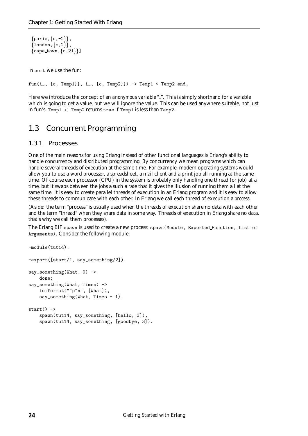```
\{paris,\{c,-2\}\},\{london,\{c,2\}\},\{cap, \{c, 21\}\}\
```
In sort we use the fun:

 $fun({\{\ ,\ }{c}, \text{Temp1}\}, {\{\_},\ \{c, \text{Temp2}\}\}) \rightarrow Temp1 < Temp2$  end,

Here we introduce the concept of an *anonymous variable* "". This is simply shorthand for a variable which is going to get a value, but we will ignore the value. This can be used anywhere suitable, not just in fun's. Temp1  $\langle$  Temp2 returns true if Temp1 is less than Temp2.

### 1.3 Concurrent Programming

#### 1.3.1 Processes

One of the main reasons for using Erlang instead of other functional languages is Erlang's ability to handle concurrency and distributed programming. By concurrency we mean programs which can handle several threads of execution at the same time. For example, modern operating systems would allow you to use a word processor, a spreadsheet, a mail client and a print job all running at the same time. Of course each processor (CPU) in the system is probably only handling one thread (or job) at a time, but it swaps between the jobs a such a rate that it gives the illusion of running them all at the same time. It is easy to create parallel threads of execution in an Erlang program and it is easy to allow these threads to communicate with each other. In Erlang we call each thread of execution a *process*.

(Aside: the term "process" is usually used when the threads of execution share no data with each other and the term "thread" when they share data in some way. Threads of execution in Erlang share no data, that's why we call them processes).

The Erlang BIF spawn is used to create a new process: spawn(Module, Exported Function, List of Arguments). Consider the following module:

```
-module(tut14).
-export([start/1, say_something/2]).
say_something(What, 0) ->
   done;
say_something(What, Times) ->
    io:format("~p~n", [What]),
   say_something(What, Times - 1).
start() ->
   spawn(tut14, say_something, [hello, 3]),
   spawn(tut14, say_something, [goodbye, 3]).
```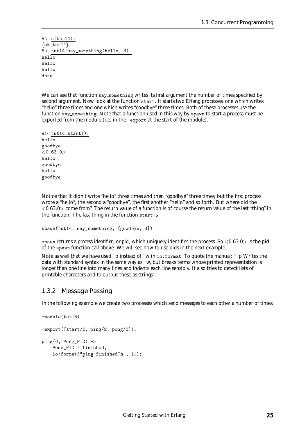$5$  c(tut14).  $\{ok, tut14\}$ 6<sup>&</sup>gt; tut14:say something(hello, 3).  $he1\overline{10}$ hello hello done

We can see that function say\_something writes its first argument the number of times specified by second argument. Now look at the function start. It starts two Erlang processes, one which writes "hello" three times and one which writes "goodbye" three times. Both of these processes use the function say something. Note that a function used in this way by spawn to start a process must be exported from the module (i.e. in the -export at the start of the module).

```
9> tut14:start().
hello
goodbye
< 0.63.0hello
goodbye
hello
goodbye
```
Notice that it didn't write "hello" three times and then "goodbye" three times, but the first process wrote a "hello", the second a "goodbye", the first another "hello" and so forth. But where did the  $<$ 0.63.0 $>$  come from? The return value of a function is of course the return value of the last "thing" in the function. The last thing in the function start is

```
spawn(tut14, say_something, [goodbye, 3]).
```
spawn returns a *process identifier*, or *pid*, which uniquely identifies the process. So <sup>&</sup>lt;0.63.0<sup>&</sup>gt; is the pid of the spawn function call above. We will see how to use pids in the next example.

Note as well that we have used ~p instead of ~w in io:format. To quote the manual: "~p Writes the data with standard syntax in the same way as ~w, but breaks terms whose printed representation is longer than one line into many lines and indents each line sensibly. It also tries to detect lists of printable characters and to output these as strings".

#### 1.3.2 Message Passing

In the following example we create two processes which send messages to each other a number of times.

```
-module(tut15).
-export([start/0, ping/2, pong/0]).
ping(0, Pong_PID) ->
   Pong_PID ! finished,
    io:format("ping finished~n", []);
```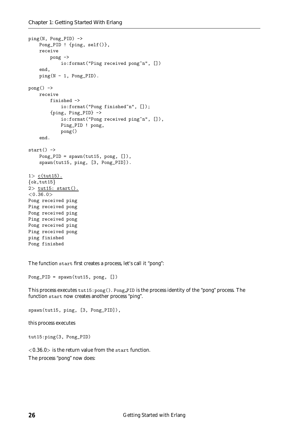```
ping(N, Pong_PID) ->
    Pong_PID ! {ping, self()},
    receive
        pong ->
            io:format("Ping received pong"n", [])
    end,
    ping(N - 1, Pong_PID).
pong() ->
    receive
        finished ->
            io:format("Pong finished~n", []);
        {ping, Ping_PID} ->
            io:format("Pong received ping~n", []),
            Ping_PID ! pong,
            pong()
    end.
start() \rightarrowPong_PID = spawn(tut15, pong, []),
    spawn(tut15, ping, [3, Pong_PID]).
1> c(tut15).
\{ok, tut15\}2 tut15: start().
<0.36.0>Pong received ping
Ping received pong
Pong received ping
Ping received pong
Pong received ping
Ping received pong
ping finished
Pong finished
```
The function start first creates a process, let's call it "pong":

```
Pong_PID = spawn(tut15, pong, []
```
This process executes tut15:pong(). Pong PID is the process identity of the "pong" process. The function start now creates another process "ping".

spawn(tut15, ping, [3, Pong\_PID]),

this process executes

tut15:ping(3, Pong\_PID)

 $<$  0.36.0 $>$  is the return value from the start function. The process "pong" now does: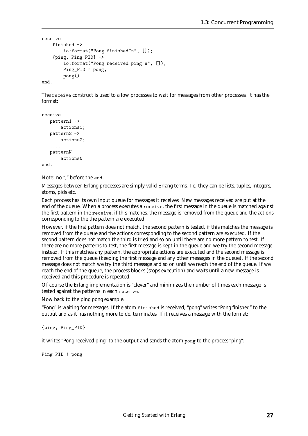```
receive
    finished ->
        io:format("Pong finished~n", []);
    {ping, Ping_PID} ->
         io:format("Pong received ping<sup>"n"</sup>, []),
        Ping_PID ! pong,
        pong()
```
end.

The receive construct is used to allow processes to wait for messages from other processes. It has the format:

```
receive
   pattern1 ->
       actions1;
   pattern2 ->
       actions2;
   ....
   patternN
       actionsN
end.
```
Note: no ";" before the end.

Messages between Erlang processes are simply valid Erlang terms. I.e. they can be lists, tuples, integers, atoms, pids etc.

Each process has its own input queue for messages it receives. New messages received are put at the end of the queue. When a process executes a receive, the first message in the queue is matched against the first pattern in the receive, if this matches, the message is removed from the queue and the actions corresponding to the the pattern are executed.

However, if the first pattern does not match, the second pattern is tested, if this matches the message is removed from the queue and the actions corresponding to the second pattern are executed. If the second pattern does not match the third is tried and so on until there are no more pattern to test. If there are no more patterns to test, the first message is kept in the queue and we try the second message instead. If this matches any pattern, the appropriate actions are executed and the second message is removed from the queue (keeping the first message and any other messages in the queue). If the second message does not match we try the third message and so on until we reach the end of the queue. If we reach the end of the queue, the process blocks (stops execution) and waits until a new message is received and this procedure is repeated.

Of course the Erlang implementation is "clever" and minimizes the number of times each message is tested against the patterns in each receive.

Now back to the ping pong example.

"Pong" is waiting for messages. If the atom finished is received, "pong" writes "Pong finished" to the output and as it has nothing more to do, terminates. If it receives a message with the format:

{ping, Ping\_PID}

it writes "Pong received ping" to the output and sends the atom pong to the process "ping":

Ping\_PID ! pong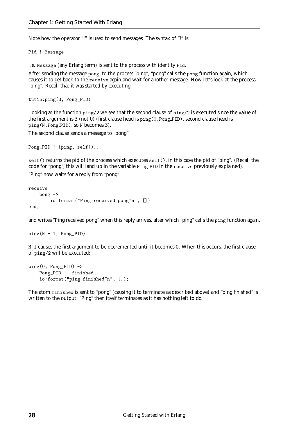Note how the operator "!" is used to send messages. The syntax of "!" is:

Pid ! Message

I.e. Message (any Erlang term) is sent to the process with identity Pid.

After sending the message pong, to the process "ping", "pong" calls the pong function again, which causes it to get back to the receive again and wait for another message. Now let's look at the process "ping". Recall that it was started by executing:

```
tut15:ping(3, Pong_PID)
```
Looking at the function ping/2 we see that the second clause of ping/2 is executed since the value of the first argument is 3 (not 0) (first clause head is  $\text{ping}(0, \text{Pop\_PID})$ , second clause head is ping(N,Pong PID), so N becomes 3).

The second clause sends a message to "pong":

```
Pong_PID ! {ping, self()},
```
self() returns the pid of the process which executes self(), in this case the pid of "ping". (Recall the code for "pong", this will land up in the variable Ping PID in the receive previously explained).

"Ping" now waits for a reply from "pong":

```
receive
    pong ->
        io:format("Ping received pong"n", [])
end,
```
and writes "Ping received pong" when this reply arrives, after which "ping" calls the ping function again.

```
ping(N - 1, Pong_PID)
```
N-1 causes the first argument to be decremented until it becomes 0. When this occurs, the first clause of ping/2 will be executed:

```
ping(0, Pong_PID) ->
    Pong_PID ! finished,
    io:format("ping finished~n", []);
```
The atom finished is sent to "pong" (causing it to terminate as described above) and "ping finished" is written to the output. "Ping" then itself terminates as it has nothing left to do.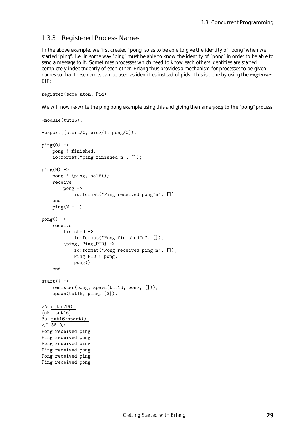#### 1.3.3 Registered Process Names

In the above example, we first created "pong" so as to be able to give the identity of "pong" when we started "ping". I.e. in some way "ping" must be able to know the identity of "pong" in order to be able to send a message to it. Sometimes processes which need to know each others identities are started completely independently of each other. Erlang thus provides a mechanism for processes to be given names so that these names can be used as identities instead of pids. This is done by using the register BIF:

```
register(some_atom, Pid)
```
We will now re-write the ping pong example using this and giving the name pong to the "pong" process:

```
-module(tut16).
-export([start/0, ping/1, pong/0]).
ping(0) ->
    pong ! finished,
    io:format("ping finished~n", []);
ping(N) ->
   pong ! {ping, self()},
   receive
        pong ->
            io:format("Ping received pong<sup>"n"</sup>, [])
    end,
    ping(N - 1).
pong() ->
   receive
        finished ->
            io:format("Pong finished~n", []);
        {ping, Ping_PID} ->
            io:format("Pong received ping~n", []),
            Ping_PID ! pong,
            pong()
    end.
start() \rightarrowregister(pong, spawn(tut16, pong, [])),
    spawn(tut16, ping, [3]).
2 c(tut16).
\{ok, tut16\}3> tut16:start().
<0.38.0>Pong received ping
Ping received pong
Pong received ping
Ping received pong
Pong received ping
Ping received pong
```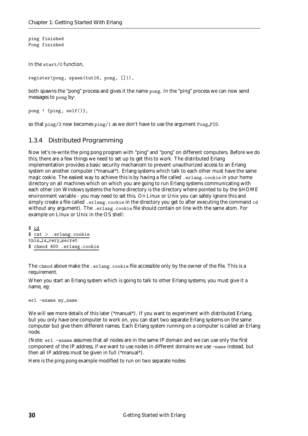ping finished Pong finished

In the start/0 function,

register(pong, spawn(tut16, pong, [])),

both spawns the "pong" process and gives it the name pong. In the "ping" process we can now send messages to pong by:

pong ! {ping, self()},

so that ping/2 now becomes ping/1 as we don't have to use the argument Pong PID.

#### 1.3.4 Distributed Programming

Now let's re-write the ping pong program with "ping" and "pong" on different computers. Before we do this, there are a few things we need to set up to get this to work. The distributed Erlang implementation provides a basic security mechanism to prevent unauthorized access to an Erlang system on another computer (\*manual\*). Erlang systems which talk to each other must have the same *magic cookie*. The easiest way to achieve this is by having a file called . erlang.cookie in your home directory on all machines which on which you are going to run Erlang systems communicating with each other (on Windows systems the home directory is the directory where pointed to by the \$HOME environment variable - you may need to set this. On Linux or Unix you can safely ignore this and simply create a file called . erlang.cookie in the directory you get to after executing the command cd without any argument). The .erlang.cookie file should contain on line with the same atom. For example on Linux or Unix in the OS shell:

```
$ cd
$ cat > .erlang.cookie
this is very secret
$ chmod 400 .erlang.cookie
```
The chmod above make the .erlang.cookie file accessible only by the owner of the file. This is a requirement.

When you start an Erlang system which is going to talk to other Erlang systems, you must give it a name, eg:

erl -sname my\_name

We will see more details of this later (\*manual\*). If you want to experiment with distributed Erlang, but you only have one computer to work on, you can start two separate Erlang systems on the same computer but give them different names. Each Erlang system running on a computer is called an Erlang node.

(Note: erl -sname assumes that all nodes are in the same IP domain and we can use only the first component of the IP address, if we want to use nodes in different domains we use -name instead, but then all IP address must be given in full (\*manual\*).

Here is the ping pong example modified to run on two separate nodes: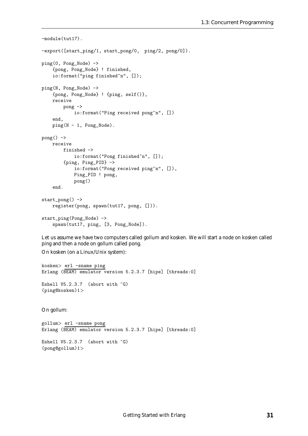```
-module(tut17).
-export([start_ping/1, start_pong/0, ping/2, pong/0]).
ping(0, Pong_Node) ->
    {pong, Pong_Node} ! finished,
    io:format("ping finished~n", []);
ping(N, Pong_Node) ->
    {pong, Pong_Node} ! {ping, self()},
   receive
        pong ->
            io:format("Ping received pong"n", [])
    end,
   ping(N - 1, Pong_Node).
pong() ->
   receive
        finished ->
           io:format("Pong finished~n", []);
        {ping, Ping_PID} ->
            io:format("Pong received ping~n", []),
            Ping_PID ! pong,
            pong()
    end.
start_pong() ->
    register(pong, spawn(tut17, pong, [])).
start_ping(Pong_Node) ->
    spawn(tut17, ping, [3, Pong_Node]).
```
Let us assume we have two computers called gollum and kosken. We will start a node on kosken called ping and then a node on gollum called pong.

On kosken (on a Linux/Unix system):

```
kosken> erl -sname ping
Erlang (BEAM) emulator version 5.2.3.7 [hipe] [threads:0]
```
Eshell V5.2.3.7 (abort with  $\hat{G}$ ) (ping@kosken)1<sup>&</sup>gt;

On gollum:

gollum<sup>&</sup>gt; erl -sname pong Erlang (BEAM) emulator version 5.2.3.7 [hipe] [threads:0]

Eshell V5.2.3.7 (abort with  $\hat{C}$ ) (pong@gollum)1<sup>&</sup>gt;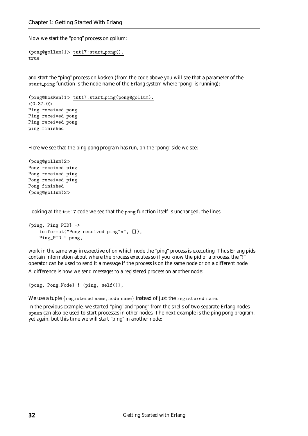Now we start the "pong" process on gollum:

```
(pong@gollum)1> tut17:start pong().
true
```
and start the "ping" process on kosken (from the code above you will see that a parameter of the start ping function is the node name of the Erlang system where "pong" is running):

```
(ping@kosken)1> tut17:start ping(pong@gollum).
< 0.37.0Ping received pong
Ping received pong
Ping received pong
ping finished
```
Here we see that the ping pong program has run, on the "pong" side we see:

```
(pong@gollum)2>
Pong received ping
Pong received ping
Pong received ping
Pong finished
(pong@gollum)2>
```
Looking at the tut17 code we see that the pong function itself is unchanged, the lines:

```
{ping, Ping_PID} ->
   io:format("Pong received ping~n", []),
   Ping_PID ! pong,
```
work in the same way irrespective of on which node the "ping" process is executing. Thus Erlang pids contain information about where the process executes so if you know the pid of a process, the "!" operator can be used to send it a message if the process is on the same node or on a different node.

A difference is how we send messages to a registered process on another node:

```
{pong, Pong_Node} ! {ping, self()},
```
We use a tuple  $\{$ registered name, node name $\}$  instead of just the registered name.

In the previous example, we started "ping" and "pong" from the shells of two separate Erlang nodes. spawn can also be used to start processes in other nodes. The next example is the ping pong program, yet again, but this time we will start "ping" in another node: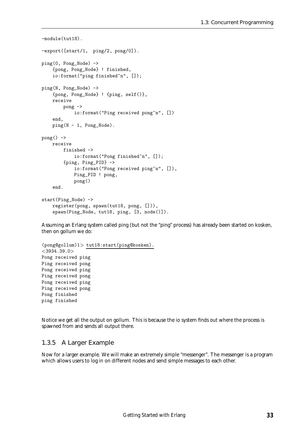```
-module(tut18).
-export([start/1, ping/2, pong/0]).
ping(0, Pong_Node) ->
    {pong, Pong_Node} ! finished,
    io:format("ping finished~n", []);
ping(N, Pong_Node) ->
    {pong, Pong_Node} ! {ping, self()},
   receive
        pong ->
            io:format("Ping received pong"n", [])
    end,
   ping(N - 1, Pong_Node).
pong() ->
   receive
        finished ->
           io:format("Pong finished~n", []);
        {ping, Ping_PID} ->
            io:format("Pong received ping~n", []),
            Ping_PID ! pong,
            pong()
    end.
start(Ping_Node) ->
    register(pong, spawn(tut18, pong, [])),
    spawn(Ping_Node, tut18, ping, [3, node()]).
```
Assuming an Erlang system called ping (but not the "ping" process) has already been started on kosken, then on gollum we do:

```
(pong@gollum)1> tut18:start(ping@kosken).
<3934.39.0>Pong received ping
Ping received pong
Pong received ping
Ping received pong
Pong received ping
Ping received pong
Pong finished
ping finished
```
Notice we get all the output on gollum. This is because the io system finds out where the process is spawned from and sends all output there.

#### 1.3.5 A Larger Example

Now for a larger example. We will make an extremely simple "messenger". The messenger is a program which allows users to log in on different nodes and send simple messages to each other.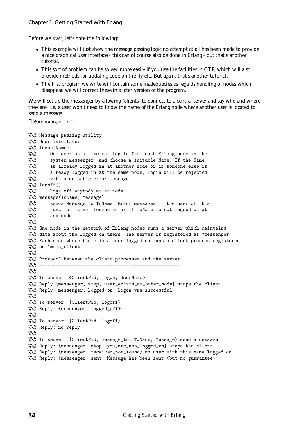Before we start, let's note the following:

- This example will just show the message passing logic no attempt at all has been made to provide a nice graphical user interface - this can of course also be done in Erlang - but that's another tutorial.
- This sort of problem can be solved more easily if you use the facilities in OTP, which will also provide methods for updating code on the fly etc. But again, that's another tutorial.
- The first program we write will contain some inadequacies as regards handling of nodes which disappear, we will correct these in a later version of the program.

We will set up the messenger by allowing "clients" to connect to a central server and say who and where they are. I.e. a user won't need to know the name of the Erlang node where another user is located to send a message.

File messenger.erl:

```
%%% Message passing utility.
%%% User interface:
%%% logon(Name)
%%% One user at a time can log in from each Erlang node in the
%%% system messenger: and choose a suitable Name. If the Name
%%% is already logged in at another node or if someone else is
%%% already logged in at the same node, login will be rejected
%%% with a suitable error message.
%%% logoff()
%%% Logs off anybody at at node
%%% message(ToName, Message)
%%% sends Message to ToName. Error messages if the user of this
%%% function is not logged on or if ToName is not logged on at
%%% any node.
\%%%
%%% One node in the network of Erlang nodes runs a server which maintains
%%% data about the logged on users. The server is registered as "messenger"
%%% Each node where there is a user logged on runs a client process registered
%%% as "mess_client"
\frac{9}{2}%
%%% Protocol between the client processes and the server
%%% ----------------------------------------------------
\frac{9}{2}%
%%% To server: {ClientPid, logon, UserName}
%%% Reply {messenger, stop, user_exists_at_other_node} stops the client
%%% Reply {messenger, logged_on} logon was successful
\%%%
%%% To server: {ClientPid, logoff}
%%% Reply: {messenger, logged_off}
\%%
%%% To server: {ClientPid, logoff}
%%% Reply: no reply
\%%
%%% To server: {ClientPid, message_to, ToName, Message} send a message
%%% Reply: {messenger, stop, you_are_not_logged_on} stops the client
%%% Reply: {messenger, receiver_not_found} no user with this name logged on
%%% Reply: {messenger, sent} Message has been sent (but no guarantee)
```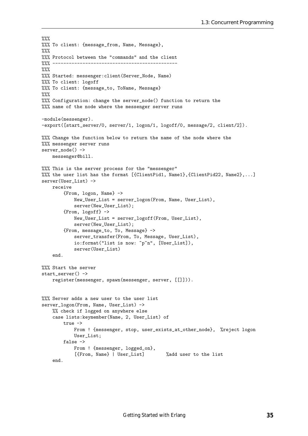```
\%%
%%% To client: {message_from, Name, Message},
\frac{2}{3}%
%%% Protocol between the "commands" and the client
%%% ----------------------------------------------
\frac{9}{2}%
%%% Started: messenger:client(Server_Node, Name)
%%% To client: logoff
%%% To client: {message_to, ToName, Message}
\%%%
%%% Configuration: change the server_node() function to return the
%%% name of the node where the messenger server runs
-module(messenger).
-export([start_server/0, server/1, logon/1, logoff/0, message/2, client/2]).
%%% Change the function below to return the name of the node where the
%%% messenger server runs
server_node() ->
   messenger@bill.
%%% This is the server process for the "messenger"
%%% the user list has the format [{ClientPid1, Name1},{ClientPid22, Name2},...]
server(User_List) ->
   receive
        {From, logon, Name} ->
            New_User_List = server_logon(From, Name, User_List),
            server(New_User_List);
        {From, logoff} \rightarrowNew_User_List = server_logoff(From, User_List),
            server(New_User_List);
        {From, message_to, To, Message} ->
            server_transfer(From, To, Message, User_List),
            io:format("list is now: ~p~n", [User_List]),
            server(User_List)
    end.
%%% Start the server
start_server() ->
   register(messenger, spawn(messenger, server, [[]])).
%%% Server adds a new user to the user list
server_logon(From, Name, User_List) ->
    %% check if logged on anywhere else
    case lists:keymember(Name, 2, User_List) of
        true ->
            From ! {messenger, stop, user_exists_at_other_node}, %reject logon
            User_List;
        false ->
            From ! {messenger, logged_on},
            [{From, Name} | User_List] %add user to the list
    end.
```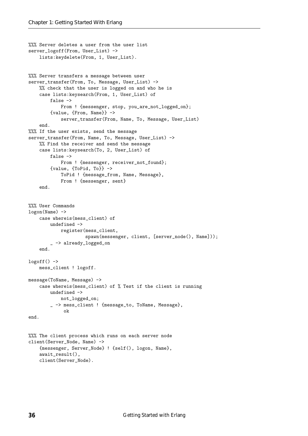```
%%% Server deletes a user from the user list
server_logoff(From, User_List) ->
    lists:keydelete(From, 1, User_List).
%%% Server transfers a message between user
server_transfer(From, To, Message, User_List) ->
    %% check that the user is logged on and who he is
    case lists:keysearch(From, 1, User_List) of
        false ->
            From ! {messenger, stop, you_are_not_logged_on};
        {value, {From, Name}} ->
            server_transfer(From, Name, To, Message, User_List)
    end.
%%% If the user exists, send the message
server_transfer(From, Name, To, Message, User_List) ->
    %% Find the receiver and send the message
    case lists:keysearch(To, 2, User_List) of
        false ->
            From ! {messenger, receiver_not_found};
        {value, {ToPid, To}} ->
            ToPid ! {message_from, Name, Message},
            From ! {messenger, sent}
    end.
%%% User Commands
logon(Name) ->
    case whereis(mess_client) of
        undefined ->
            register(mess_client,
                     spawn(messenger, client, [server_node(), Name]));
         -> already_logged_on
    end.
logoff() ->
   mess_client ! logoff.
message(ToName, Message) ->
    case whereis(mess_client) of % Test if the client is running
       undefined ->
            not_logged_on;
        _ -> mess_client ! {message_to, ToName, Message},
             ok
end.
%%% The client process which runs on each server node
client(Server_Node, Name) ->
    {messenger, Server_Node} ! {self(), logon, Name},
    await_result(),
    client(Server_Node).
```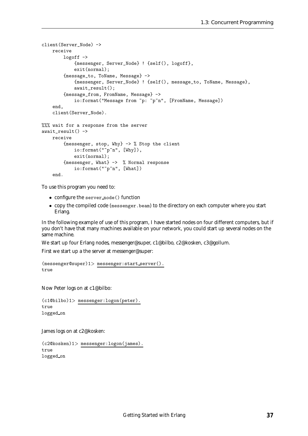```
client(Server_Node) ->
   receive
        logoff ->
            {messenger, Server_Node} ! {self(), logoff},
            exit(normal);
        {message_to, ToName, Message} ->
            {messenger, Server_Node} ! {self(), message_to, ToName, Message},
            await_result();
        {message_from, FromName, Message} ->
            io:format("Message from ~p: ~p~n", [FromName, Message])
    end,
    client(Server_Node).
%%% wait for a response from the server
await_result() ->
   receive
        {messenger, stop, Why} -> % Stop the client
            io:format("~p~n", [Why]),
            exit(normal);
        {messenger, What} -> % Normal response
            io:format("~p~n", [What])
    end.
```
To use this program you need to:

- configure the server node() function
- $\bullet\,$  copy the compiled code (messenger.beam) to the directory on each computer where you start Erlang.

In the following example of use of this program, I have started nodes on four different computers, but if you don't have that many machines available on your network, you could start up several nodes on the same machine.

We start up four Erlang nodes, messenger@super, c1@bilbo, c2@kosken, c3@gollum.

First we start up a the server at messenger@super:

```
(messenger@super)1> messenger:start server().
true
```
Now Peter logs on at c1@bilbo:

```
(c1@bilbo)1> messenger:logon(peter).
true
logged on
```
James logs on at c2@kosken:

```
(c2@kosken)1> messenger:logon(james).
true
logged on
```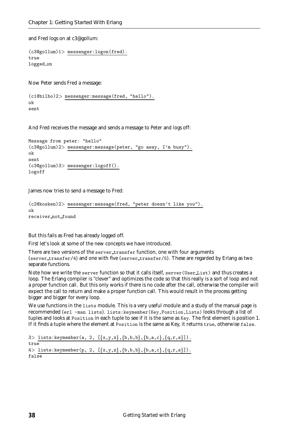and Fred logs on at c3@gollum:

```
(c3@gollum)1> messenger:logon(fred).
true
logged on
```
Now Peter sends Fred a message:

(c1@bilbo)2<sup>&</sup>gt; messenger:message(fred, "hello"). ok sent

And Fred receives the message and sends a message to Peter and logs off:

```
Message from peter: "hello"
(c3@gollum)2> messenger:message(peter, "go away, I'm busy").
ok
sent
(c3@gollum)3> messenger:logoff().
logoff
```
James now tries to send a message to Fred:

```
(c2@kosken)2> messenger:message(fred, "peter doesn't like you").
ok
receiver not found
```
But this fails as Fred has already logged off.

First let's look at some of the new concepts we have introduced.

There are two versions of the server\_transfer function, one with four arguments (server\_transfer/4) and one with five (server\_transfer/5). These are regarded by Erlang as two separate functions.

Note how we write the server function so that it calls itself, server(User List) and thus creates a loop. The Erlang compiler is "clever" and optimizes the code so that this really is a sort of loop and not a proper function call. But this only works if there is no code after the call, otherwise the compiler will expect the call to return and make a proper function call. This would result in the process getting bigger and bigger for every loop.

We use functions in the lists module. This is a very useful module and a study of the manual page is recommended (erl -man lists). lists:keymember(Key,Position,Lists) looks through a list of tuples and looks at Position in each tuple to see if it is the same as Key. The first element is position 1. If it finds a tuple where the element at Position is the same as Key, it returns true, otherwise false.

```
3 lists: keymember(a, 2, [\{x,y,z\},\{b,b,b\},\{b,a,c\},\{q,r,s\}]).
true
4 > lists: keymember(p, 2, [\{x,y,z\},\{b,b,b\},\{b,a,c\},\{q,r,s\}].false
```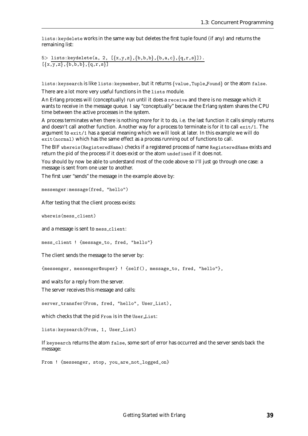lists:keydelete works in the same way but deletes the first tuple found (if any) and returns the remaining list:

5> lists:keydelete(a, 2,  $[\{x,y,z\},\{b,b,b\},\{b,a,c\},\{q,r,s\}])$ .  $[\{x,y,z\}, \{b,b,b\}, \{a,r,s\}]$ 

lists: keysearch is like lists: keymember, but it returns {value, Tuple Found} or the atom false.

There are a lot more very useful functions in the lists module.

An Erlang process will (conceptually) run until it does a receive and there is no message which it wants to receive in the message queue. I say "conceptually" because the Erlang system shares the CPU time between the active processes in the system.

A process terminates when there is nothing more for it to do, i.e. the last function it calls simply returns and doesn't call another function. Another way for a process to terminate is for it to call exit/1. The argument to exit/1 has a special meaning which we will look at later. In this example we will do exit(normal) which has the same effect as a process running out of functions to call.

The BIF whereis(RegisteredName) checks if a registered process of name RegisteredName exists and return the pid of the process if it does exist or the atom undefined if it does not.

You should by now be able to understand most of the code above so I'll just go through one case: a message is sent from one user to another.

The first user "sends" the message in the example above by:

messenger:message(fred, "hello")

After testing that the client process exists:

whereis(mess\_client)

and a message is sent to mess client:

mess\_client ! {message\_to, fred, "hello"}

The client sends the message to the server by:

{messenger, messenger@super} ! {self(), message\_to, fred, "hello"},

and waits for a reply from the server.

The server receives this message and calls:

server\_transfer(From, fred, "hello", User\_List),

which checks that the pid From is in the User List:

lists:keysearch(From, 1, User\_List)

If keysearch returns the atom false, some sort of error has occurred and the server sends back the message:

From ! {messenger, stop, you\_are\_not\_logged\_on}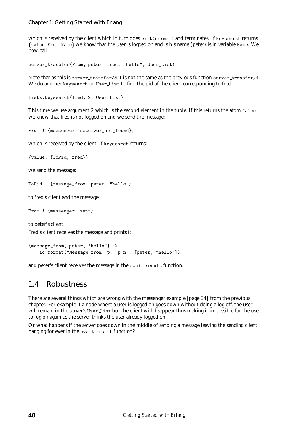which is received by the client which in turn does exit (normal) and terminates. If keysearch returns {value, From, Name} we know that the user is logged on and is his name (peter) is in variable Name. We now call:

server\_transfer(From, peter, fred, "hello", User\_List)

Note that as this is server\_transfer/5 it is not the same as the previous function server\_transfer/4. We do another keysearch on User List to find the pid of the client corresponding to fred:

lists:keysearch(fred, 2, User\_List)

This time we use argument 2 which is the second element in the tuple. If this returns the atom false we know that fred is not logged on and we send the message:

From ! {messenger, receiver\_not\_found};

which is received by the client, if keysearch returns:

{value, {ToPid, fred}}

we send the message:

ToPid ! {message\_from, peter, "hello"},

to fred's client and the message:

From ! {messenger, sent}

to peter's client. Fred's client receives the message and prints it:

```
{message_from, peter, "hello"} ->
   io:format("Message from ~p: ~p~n", [peter, "hello"])
```
and peter's client receives the message in the await result function.

## 1.4 Robustness

There are several things which are wrong with the messenger example [page 34] from the previous chapter. For example if a node where a user is logged on goes down without doing a log off, the user will remain in the server's User List but the client will disappear thus making it impossible for the user to log on again as the server thinks the user already logged on.

Or what happens if the server goes down in the middle of sending a message leaving the sending client hanging for ever in the await result function?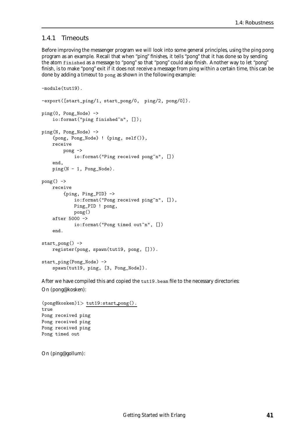#### 1.4.1 Timeouts

Before improving the messenger program we will look into some general principles, using the ping pong program as an example. Recall that when "ping" finishes, it tells "pong" that it has done so by sending the atom finished as a message to "pong" so that "pong" could also finish. Another way to let "pong" finish, is to make "pong" exit if it does not receive a message from ping within a certain time, this can be done by adding a *timeout* to pong as shown in the following example:

```
-module(tut19).
-export([start_ping/1, start_pong/0, ping/2, pong/0]).
ping(0, Pong_Node) ->
    io:format("ping finished~n", []);
ping(N, Pong_Node) ->
    {pong, Pong_Node} ! {ping, self()},
    receive
        pong ->
            io:format("Ping received pong<sup>"n"</sup>, [])
    end,
    ping(N - 1, Pong_Node).
pong() ->
   receive
        {ping, Ping_PID} ->
            io:format("Pong received ping"n", []),
            Ping_PID ! pong,
            pong()
    after 5000 ->
            io:format("Pong timed out"n", [])
    end.
start_pong() ->
    register(pong, spawn(tut19, pong, [])).
start_ping(Pong_Node) ->
    spawn(tut19, ping, [3, Pong_Node]).
```
After we have compiled this and copied the tut19.beam file to the necessary directories: On (pong@kosken):

```
(pong@kosken)1> tut19:start pong().
true
Pong received ping
Pong received ping
Pong received ping
Pong timed out
```
On (ping@gollum):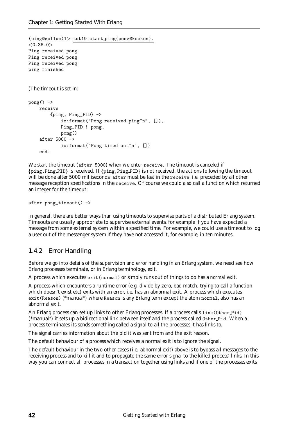```
(ping@gollum)1> tut19:start ping(pong@kosken).
<0.36.0>Ping received pong
Ping received pong
Ping received pong
ping finished
(The timeout is set in:
pong() ->
    receive
         {ping, Ping_PID} ->
             io:format("Pong received ping<sup>"n"</sup>, []),
             Ping_PID ! pong,
             pong()
    after 5000 ->
             io:format("Pong timed out<sup>"n"</sup>, [])
    end.
```
We start the timeout (after 5000) when we enter receive. The timeout is canceled if {ping,Ping\_PID} is received. If {ping,Ping\_PID} is not received, the actions following the timeout will be done after 5000 milliseconds. after must be last in the receive, i.e. preceded by all other message reception specifications in the receive. Of course we could also call a function which returned an integer for the timeout:

after pong\_timeout() ->

In general, there are better ways than using timeouts to supervise parts of a distributed Erlang system. Timeouts are usually appropriate to supervise external events, for example if you have expected a message from some external system within a specified time. For example, we could use a timeout to log a user out of the messenger system if they have not accessed it, for example, in ten minutes.

### 1.4.2 Error Handling

Before we go into details of the supervision and error handling in an Erlang system, we need see how Erlang processes terminate, or in Erlang terminology, *exit*.

A process which executes exit(normal) or simply runs out of things to do has a *normal* exit.

A process which encounters a runtime error (e.g. divide by zero, bad match, trying to call a function which doesn't exist etc) exits with an error, i.e. has an *abnormal* exit. A process which executes exit(Reason) (\*manual\*) where Reason is any Erlang term except the atom normal, also has an abnormal exit.

An Erlang process can set up links to other Erlang processes. If a process calls link(Other Pid) (\*manual\*) it sets up a bidirectional link between itself and the process called Other Pid. When a process terminates its sends something called a *signal* to all the processes it has links to.

The signal carries information about the pid it was sent from and the exit reason.

The default behaviour of a process which receives a normal exit is to ignore the signal.

The default behaviour in the two other cases (i.e. abnormal exit) above is to bypass all messages to the receiving process and to kill it and to propagate the same error signal to the killed process' links. In this way you can connect all processes in a transaction together using links and if one of the processes exits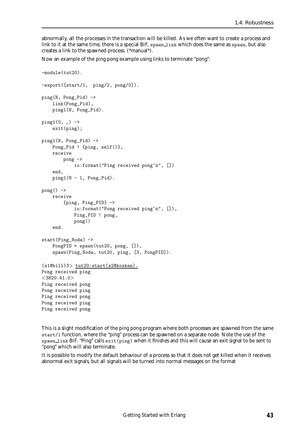abnormally, all the processes in the transaction will be killed. As we often want to create a process and link to it at the same time, there is a special BIF, spawn\_link which does the same as spawn, but also creates a link to the spawned process. (\*manual\*).

Now an example of the ping pong example using links to terminate "pong":

```
-module(tut20).
-export([start/1, ping/2, pong/0]).
ping(N, Pong_Pid) ->
    link(Pong_Pid),
    ping1(N, Pong_Pid).
ping1(0, ) \rightarrowexit(ping);
ping1(N, Pong_Pid) ->
    Pong_Pid ! {ping, self()},
    receive
        pong ->
            io:format("Ping received pong<sup>"n"</sup>, [])
    end,
    ping1(N - 1, Pong_Pid).
pong() ->
    receive
        {ping, Ping_PID} ->
            io:format("Pong received ping<sup>"n"</sup>, []),
            Ping_PID ! pong,
            pong()
    end.
start(Ping_Node) ->
    PongPID = spawn(tut20, pong, []),
    spawn(Ping_Node, tut20, ping, [3, PongPID]).
(s1@bill)3> tut20:start(s2@kosken).
Pong received ping
<3820.41.0>
Ping received pong
Pong received ping
Ping received pong
Pong received ping
Ping received pong
```
This is a slight modification of the ping pong program where both processes are spawned from the same start/1 function, where the "ping" process can be spawned on a separate node. Note the use of the spawn link BIF. "Ping" calls exit(ping) when it finishes and this will cause an exit signal to be sent to "pong" which will also terminate.

It is possible to modify the default behaviour of a process so that it does not get killed when it receives abnormal exit signals, but all signals will be turned into normal messages on the format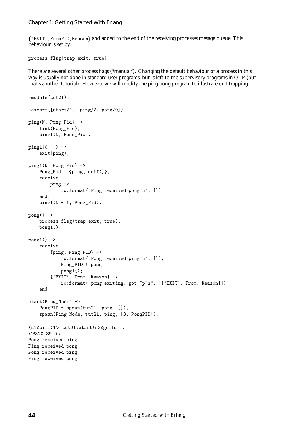{'EXIT', FromPID, Reason} and added to the end of the receiving processes mesage queue. This behaviour is set by:

```
process_flag(trap_exit, true)
```
There are several other process flags (\*manual\*). Changing the default behaviour of a process in this way is usually not done in standard user programs, but is left to the supervisory programs in OTP (but that's another tutorial). However we will modify the ping pong program to illustrate exit trapping.

```
-module(tut21).
-export([start/1, ping/2, pong/0]).
ping(N, Pong_Pid) ->
    link(Pong_Pid),
    ping1(N, Pong_Pid).
ping1(0, ) \rightarrowexit(ping);
ping1(N, Pong_Pid) ->
    Pong_Pid ! {ping, self()},
    receive
        pong ->
            io:format("Ping received pong<sup>"n"</sup>, [])
    end,
    ping1(N - 1, Pong_Pid).pong() ->
    process_flag(trap_exit, true),
    pong1().
pong1() ->
    receive
        {ping, Ping_PID} ->
            io:format("Pong received ping~n", []),
            Ping_PID ! pong,
            pong1();
        {'EXIT', From, Reason} ->
            io:format("pong exiting, got "p"n", [{'EXIT', From, Reason}])
    end.
start(Ping_Node) ->
    PongPID = spawn(tut21, pong, []),
    spawn(Ping_Node, tut21, ping, [3, PongPID]).
(s1@bill)1> tut21:start(s2@gollum).
<3820.39.0>Pong received ping
Ping received pong
Pong received ping
Ping received pong
```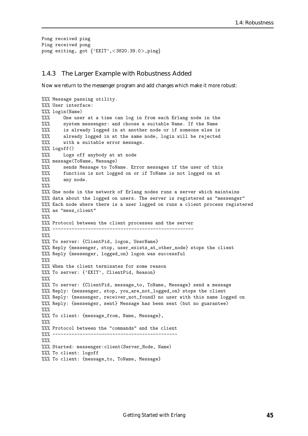```
Pong received ping
Ping received pong
pong exiting, got {?}EXIT', <3820.39.0>,ping}
```
#### 1.4.3 The Larger Example with Robustness Added

Now we return to the messenger program and add changes which make it more robust:

```
%%% Message passing utility.
%%% User interface:
%%% login(Name)
%%% One user at a time can log in from each Erlang node in the
%%% system messenger: and choose a suitable Name. If the Name
%%% is already logged in at another node or if someone else is
%%% already logged in at the same node, login will be rejected
%%% with a suitable error message.
%%% logoff()
%%% Logs off anybody at at node
%%% message(ToName, Message)
%%% sends Message to ToName. Error messages if the user of this
%%% function is not logged on or if ToName is not logged on at
%%% any node.
\frac{2}{3}%
%%% One node in the network of Erlang nodes runs a server which maintains
%%% data about the logged on users. The server is registered as "messenger"
%%% Each node where there is a user logged on runs a client process registered
%%% as "mess_client"
\frac{9}{2}%
%%% Protocol between the client processes and the server
%%% ----------------------------------------------------
\frac{2}{3}%
%%% To server: {ClientPid, logon, UserName}
%%% Reply {messenger, stop, user_exists_at_other_node} stops the client
%%% Reply {messenger, logged_on} logon was successful
\frac{2}{3}%
%%% When the client terminates for some reason
%%% To server: {'EXIT', ClientPid, Reason}
\%%%
%%% To server: {ClientPid, message_to, ToName, Message} send a message
%%% Reply: {messenger, stop, you_are_not_logged_on} stops the client
%%% Reply: {messenger, receiver_not_found} no user with this name logged on
%%% Reply: {messenger, sent} Message has been sent (but no guarantee)
\frac{9}{2}%
%%% To client: {message_from, Name, Message},
9.9/9%%% Protocol between the "commands" and the client
%%% ----------------------------------------------
\frac{9}{2}%
%%% Started: messenger:client(Server_Node, Name)
%%% To client: logoff
%%% To client: {message_to, ToName, Message}
```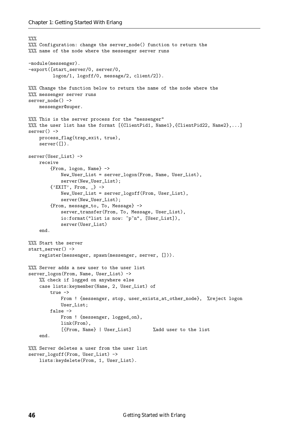```
\frac{2}{3}%
%%% Configuration: change the server_node() function to return the
%%% name of the node where the messenger server runs
-module(messenger).
-export([start_server/0, server/0,
         logon/1, logoff/0, message/2, client/2]).
%%% Change the function below to return the name of the node where the
%%% messenger server runs
server_node() ->
    messenger@super.
%%% This is the server process for the "messenger"
%%% the user list has the format [{ClientPid1, Name1},{ClientPid22, Name2},...]
server() ->
    process_flag(trap_exit, true),
    server([]).
server(User_List) ->
    receive
        {From, logon, Name} ->
            New_User_List = server_logon(From, Name, User_List),
            server(New_User_List);
        \{'EXIT', From, \_} ->
            New_User_List = server_logoff(From, User_List),
            server(New_User_List);
        {From, message_to, To, Message} ->
            server_transfer(From, To, Message, User_List),
            io:format("list is now: "p"n", [User_List]),
            server(User_List)
    end.
%%% Start the server
start_server() ->
    register(messenger, spawn(messenger, server, [])).
%%% Server adds a new user to the user list
server_logon(From, Name, User_List) ->
    %% check if logged on anywhere else
    case lists:keymember(Name, 2, User_List) of
        true ->
            From ! {messenger, stop, user_exists_at_other_node}, %reject logon
            User List:
        false ->
            From ! {messenger, logged_on},
            link(From),
            [{From, Name} | User_List] %add user to the list
    end.
%%% Server deletes a user from the user list
server_logoff(From, User_List) ->
    lists:keydelete(From, 1, User_List).
```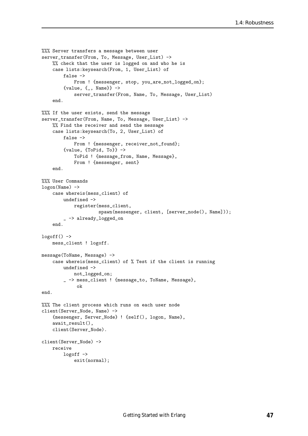```
%%% Server transfers a message between user
server_transfer(From, To, Message, User_List) ->
    %% check that the user is logged on and who he is
    case lists:keysearch(From, 1, User_List) of
        false ->
            From ! {messenger, stop, you_are_not_logged_on};
        {value, {_, Name}} ->
            server_transfer(From, Name, To, Message, User_List)
    end.
%%% If the user exists, send the message
server_transfer(From, Name, To, Message, User_List) ->
    %% Find the receiver and send the message
    case lists:keysearch(To, 2, User_List) of
        false ->
            From ! {messenger, receiver_not_found};
        {value, {ToPid, To}} ->
            ToPid ! {message_from, Name, Message},
            From ! {messenger, sent}
    end.
%%% User Commands
logon(Name) ->
   case whereis(mess_client) of
        undefined ->
            register(mess_client,
                     spawn(messenger, client, [server_node(), Name]));
        _ -> already_logged_on
    end.
logoff() ->
   mess_client ! logoff.
message(ToName, Message) ->
    case whereis(mess_client) of % Test if the client is running
        undefined ->
           not_logged_on;
        _ -> mess_client ! {message_to, ToName, Message},
             ok
end.
%%% The client process which runs on each user node
client(Server_Node, Name) ->
    {messenger, Server_Node} ! {self(), logon, Name},
    await_result(),
    client(Server_Node).
client(Server_Node) ->
   receive
        logoff ->
            exit(normal);
```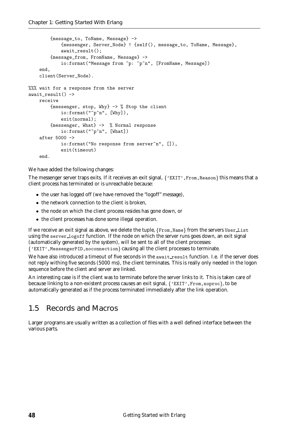```
{message_to, ToName, Message} ->
            {messenger, Server_Node} ! {self(), message_to, ToName, Message},
            await_result();
        {message_from, FromName, Message} ->
            io:format("Message from ~p: ~p~n", [FromName, Message])
    end,
    client(Server_Node).
%%% wait for a response from the server
await\_result() ->
    receive
        {messenger, stop, Why} -> % Stop the client
            io:format("~p~n", [Why]),
            exit(normal);
        {messenger, What} -> % Normal response
            io:format("~p~n", [What])
    after 5000 ->
            io:format("No response from server"n", []),
            exit(timeout)
    end.
```
We have added the following changes:

The messenger server traps exits. If it receives an exit signal,  $\{PEXIT, From, Reason\}$  this means that a client process has terminated or is unreachable because:

- the user has logged off (we have removed the "logoff" message),
- the network connection to the client is broken,
- the node on which the client process resides has gone down, or
- the client processes has done some illegal operation.

If we receive an exit signal as above, we delete the tuple,  $\{From,Name\}$  from the servers User List using the server logoff function. If the node on which the server runs goes down, an exit signal (automatically generated by the system), will be sent to all of the client processes: {'EXIT', MessengerPID, noconnection} causing all the client processes to terminate.

We have also introduced a timeout of five seconds in the await result function. I.e. if the server does not reply withing five seconds (5000 ms), the client terminates. This is really only needed in the logon sequence before the client and server are linked.

An interesting case is if the client was to terminate before the server links to it. This is taken care of because linking to a non-existent process causes an exit signal,  $\{PEXIT, From, no proc\}$ , to be automatically generated as if the process terminated immediately after the link operation.

## 1.5 Records and Macros

Larger programs are usually written as a collection of files with a well defined interface between the various parts.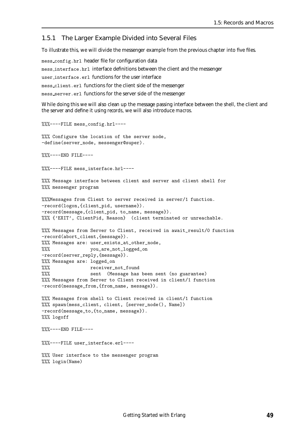#### 1.5.1 The Larger Example Divided into Several Files

To illustrate this, we will divide the messenger example from the previous chapter into five files.

mess config.hrl header file for configuration data mess interface.hrl interface definitions between the client and the messenger user interface.erl functions for the user interface mess client.erl functions for the client side of the messenger mess server.erl functions for the server side of the messenger

While doing this we will also clean up the message passing interface between the shell, the client and the server and define it using *records*, we will also introduce *macros*.

%%%----FILE mess\_config.hrl----

%%% Configure the location of the server node, -define(server\_node, messenger@super).

%%%----END FILE----

%%%----FILE mess\_interface.hrl----

%%% Message interface between client and server and client shell for %%% messenger program

%%%Messages from Client to server received in server/1 function. -record(logon,{client\_pid, username}). -record(message,{client\_pid, to\_name, message}). %%% {'EXIT', ClientPid, Reason} (client terminated or unreachable.

%%% Messages from Server to Client, received in await\_result/0 function -record(abort\_client,{message}). %%% Messages are: user\_exists\_at\_other\_node, %%% you\_are\_not\_logged\_on -record(server\_reply,{message}). %%% Messages are: logged\_on %%% receiver not found

%%% sent (Message has been sent (no guarantee) %%% Messages from Server to Client received in client/1 function -record(message\_from,{from\_name, message}).

%%% Messages from shell to Client received in client/1 function %%% spawn(mess\_client, client, [server\_node(), Name]) -record(message\_to,{to\_name, message}). %%% logoff

%%%----END FILE----

%%%----FILE user\_interface.erl----

%%% User interface to the messenger program %%% login(Name)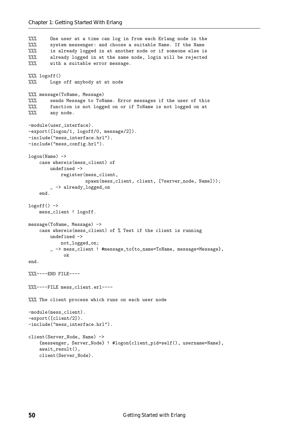```
%%% One user at a time can log in from each Erlang node in the
%%% system messenger: and choose a suitable Name. If the Name
%%% is already logged in at another node or if someone else is
%%% already logged in at the same node, login will be rejected
%%% with a suitable error message.
%%% logoff()
%%% Logs off anybody at at node
%%% message(ToName, Message)
%%% sends Message to ToName. Error messages if the user of this
%%% function is not logged on or if ToName is not logged on at
%%% any node.
-module(user_interface).
-export([logon/1, logoff/0, message/2]).
-include("mess_interface.hrl").
-include("mess_config.hrl").
logon(Name) ->
    case whereis(mess_client) of
       undefined ->
           register(mess_client,
                     spawn(mess_client, client, [?server_node, Name]));
        _ -> already_logged_on
    end.
logoff() \rightarrowmess_client ! logoff.
message(ToName, Message) ->
    case whereis(mess_client) of % Test if the client is running
       undefined ->
           not_logged_on;
        _ -> mess_client ! #message_to{to_name=ToName, message=Message},
             ok
end.
%%%----END FILE----
%%%----FILE mess_client.erl----
%%% The client process which runs on each user node
-module(mess_client).
-export([client/2]).
-include("mess_interface.hrl").
client(Server_Node, Name) ->
    {messenger, Server_Node} ! #logon{client_pid=self(), username=Name},
    await_result(),
    client(Server_Node).
```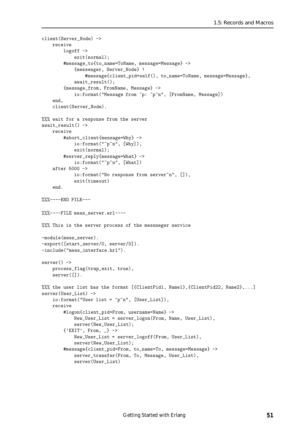```
client(Server_Node) ->
   receive
        logoff ->
            exit(normal);
        #message_to{to_name=ToName, message=Message} ->
            {messenger, Server_Node} !
                #message{client_pid=self(), to_name=ToName, message=Message},
            await_result();
        {message_from, FromName, Message} ->
            io:format("Message from ~p: ~p~n", [FromName, Message])
    end,
    client(Server_Node).
%%% wait for a response from the server
await\_result() ->
   receive
        #abort_client{message=Why} ->
            io:format("~p~n", [Why]),
            exit(normal);
        #server_reply{message=What} ->
            io:format("~p~n", [What])
    after 5000 ->
            io:format("No response from server~n", []),
            exit(timeout)
    end.
%%%----END FILE---
%%%----FILE mess_server.erl----
%%% This is the server process of the messneger service
-module(mess_server).
-export([start_server/0, server/0]).
-include("mess_interface.hrl").
server() ->
   process_flag(trap_exit, true),
   server([]).
%%% the user list has the format [{ClientPid1, Name1},{ClientPid22, Name2},...]
server(User_List) ->
    io:format("User list = ~p~n", [User_List]),
   receive
        #logon{client_pid=From, username=Name} ->
            New_User_List = server_logon(From, Name, User_List),
            server(New_User_List);
        {'EXIT', From, _} ->
            New_User_List = server_logoff(From, User_List),
            server(New_User_List);
        #message{client_pid=From, to_name=To, message=Message} ->
            server_transfer(From, To, Message, User_List),
            server(User_List)
```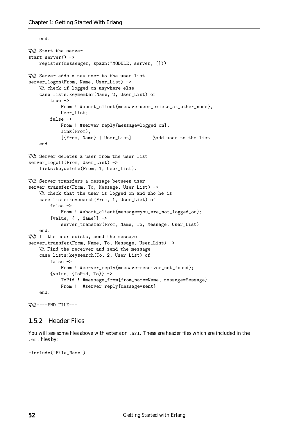end.

```
%%% Start the server
start_server() ->
    register(messenger, spawn(?MODULE, server, [])).
%%% Server adds a new user to the user list
server_logon(From, Name, User_List) ->
    %% check if logged on anywhere else
    case lists:keymember(Name, 2, User_List) of
        true ->
            From ! #abort_client{message=user_exists_at_other_node},
            User_List;
        false ->
            From ! #server_reply{message=logged_on},
            link(From),
            [{From, Name} | User_List] %add user to the list
    end.
%%% Server deletes a user from the user list
server_logoff(From, User_List) ->
    lists:keydelete(From, 1, User_List).
%%% Server transfers a message between user
server_transfer(From, To, Message, User_List) ->
    %% check that the user is logged on and who he is
    case lists:keysearch(From, 1, User_List) of
        false ->
            From ! #abort_client{message=you_are_not_logged_on};
        {value, \{-\}, Name}} ->
            server_transfer(From, Name, To, Message, User_List)
    end.
%%% If the user exists, send the message
server_transfer(From, Name, To, Message, User_List) ->
    %% Find the receiver and send the message
    case lists:keysearch(To, 2, User_List) of
        false ->
            From ! #server_reply{message=receiver_not_found};
        {value, {ToPid, To}} ->
            ToPid ! #message_from{from_name=Name, message=Message},
            From ! #server_reply{message=sent}
    end.
```

```
%%%----END FILE---
```
#### 1.5.2 Header Files

You will see some files above with extension .hrl. These are header files which are included in the .erl files by:

-include("File\_Name").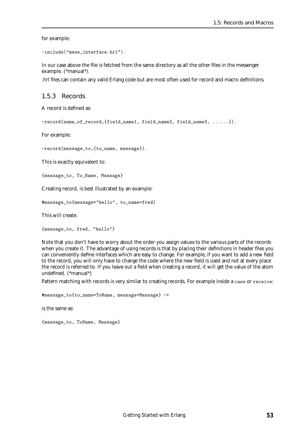for example:

```
-include("mess_interface.hrl").
```
In our case above the file is fetched from the same directory as all the other files in the messenger example. (\*manual\*).

.hrl files can contain any valid Erlang code but are most often used for record and macro definitions.

#### 1.5.3 Records

A record is defined as:

-record(name\_of\_record,{field\_name1, field\_name2, field\_name3, ......}).

For example:

-record(message\_to,{to\_name, message}).

This is exactly equivalent to:

{message\_to, To\_Name, Message}

Creating record, is best illustrated by an example:

#message\_to{message="hello", to\_name=fred)

This will create:

{message\_to, fred, "hello"}

Note that you don't have to worry about the order you assign values to the various parts of the records when you create it. The advantage of using records is that by placing their definitions in header files you can conveniently define interfaces which are easy to change. For example, if you want to add a new field to the record, you will only have to change the code where the new field is used and not at every place the record is referred to. If you leave out a field when creating a record, it will get the value of the atom undefined. (\*manual\*)

Pattern matching with records is very similar to creating records. For example inside a case or receive:

#message\_to{to\_name=ToName, message=Message} ->

is the same as:

{message\_to, ToName, Message}